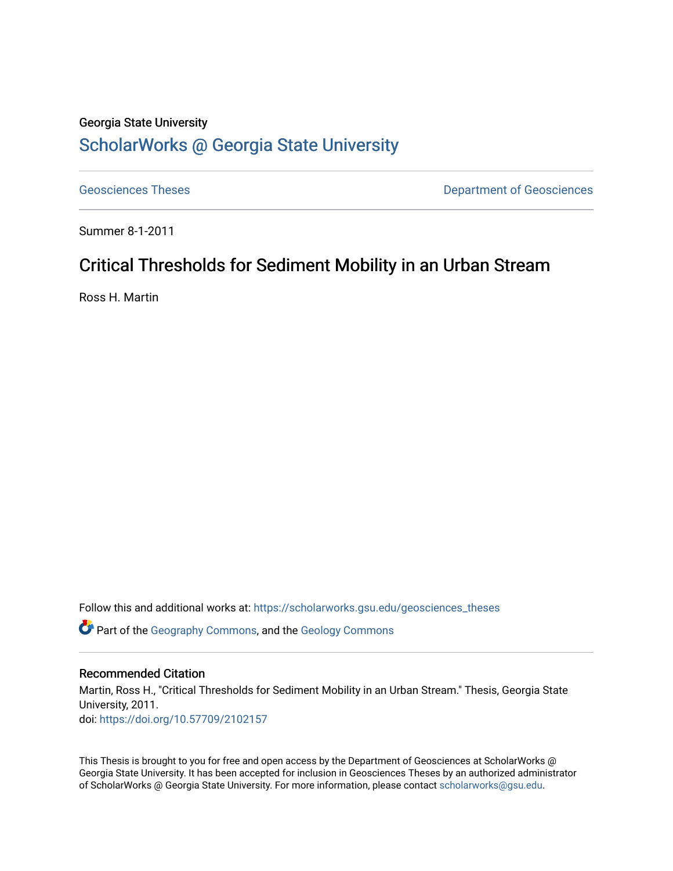# Georgia State University [ScholarWorks @ Georgia State University](https://scholarworks.gsu.edu/)

[Geosciences Theses](https://scholarworks.gsu.edu/geosciences_theses) **Department of Geosciences** 

Summer 8-1-2011

# Critical Thresholds for Sediment Mobility in an Urban Stream

Ross H. Martin

Follow this and additional works at: [https://scholarworks.gsu.edu/geosciences\\_theses](https://scholarworks.gsu.edu/geosciences_theses?utm_source=scholarworks.gsu.edu%2Fgeosciences_theses%2F37&utm_medium=PDF&utm_campaign=PDFCoverPages)

Part of the [Geography Commons,](http://network.bepress.com/hgg/discipline/354?utm_source=scholarworks.gsu.edu%2Fgeosciences_theses%2F37&utm_medium=PDF&utm_campaign=PDFCoverPages) and the [Geology Commons](http://network.bepress.com/hgg/discipline/156?utm_source=scholarworks.gsu.edu%2Fgeosciences_theses%2F37&utm_medium=PDF&utm_campaign=PDFCoverPages) 

## Recommended Citation

Martin, Ross H., "Critical Thresholds for Sediment Mobility in an Urban Stream." Thesis, Georgia State University, 2011. doi: <https://doi.org/10.57709/2102157>

This Thesis is brought to you for free and open access by the Department of Geosciences at ScholarWorks @ Georgia State University. It has been accepted for inclusion in Geosciences Theses by an authorized administrator of ScholarWorks @ Georgia State University. For more information, please contact [scholarworks@gsu.edu.](mailto:scholarworks@gsu.edu)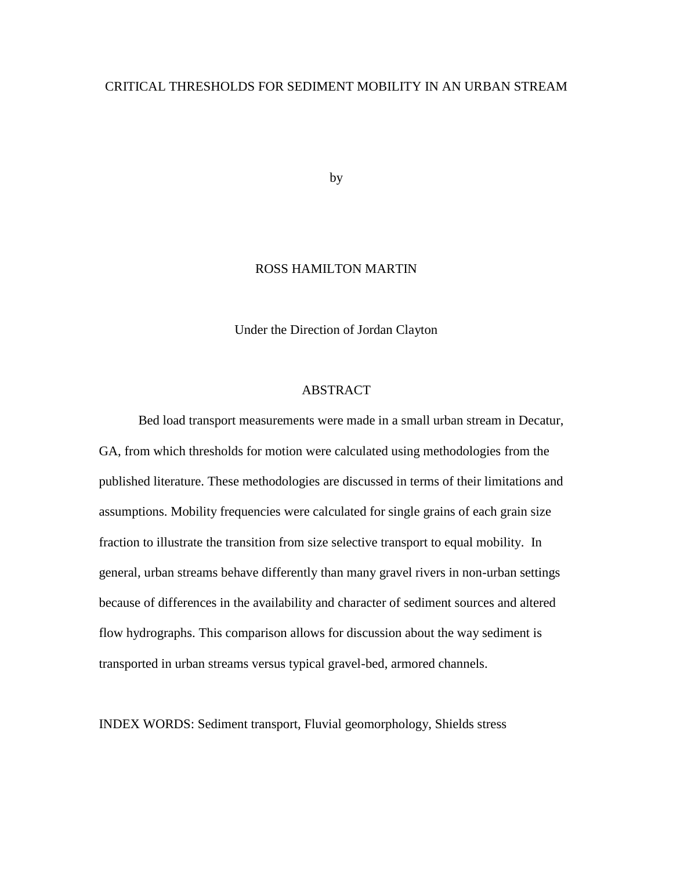## CRITICAL THRESHOLDS FOR SEDIMENT MOBILITY IN AN URBAN STREAM

by

## ROSS HAMILTON MARTIN

Under the Direction of Jordan Clayton

## ABSTRACT

Bed load transport measurements were made in a small urban stream in Decatur, GA, from which thresholds for motion were calculated using methodologies from the published literature. These methodologies are discussed in terms of their limitations and assumptions. Mobility frequencies were calculated for single grains of each grain size fraction to illustrate the transition from size selective transport to equal mobility. In general, urban streams behave differently than many gravel rivers in non-urban settings because of differences in the availability and character of sediment sources and altered flow hydrographs. This comparison allows for discussion about the way sediment is transported in urban streams versus typical gravel-bed, armored channels.

INDEX WORDS: Sediment transport, Fluvial geomorphology, Shields stress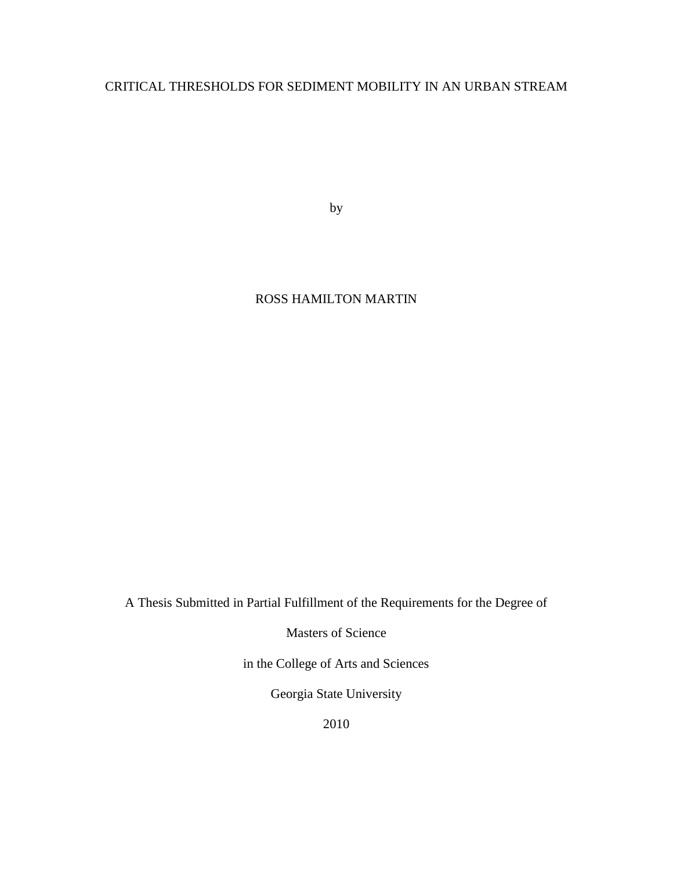## CRITICAL THRESHOLDS FOR SEDIMENT MOBILITY IN AN URBAN STREAM

by

## ROSS HAMILTON MARTIN

A Thesis Submitted in Partial Fulfillment of the Requirements for the Degree of

Masters of Science

in the College of Arts and Sciences

Georgia State University

2010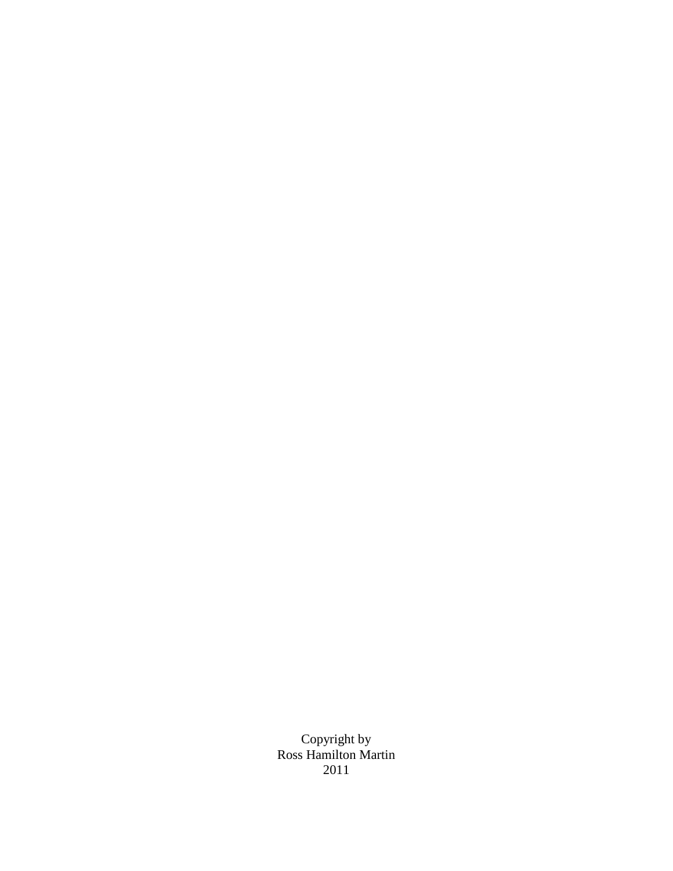Copyright by Ross Hamilton Martin 2011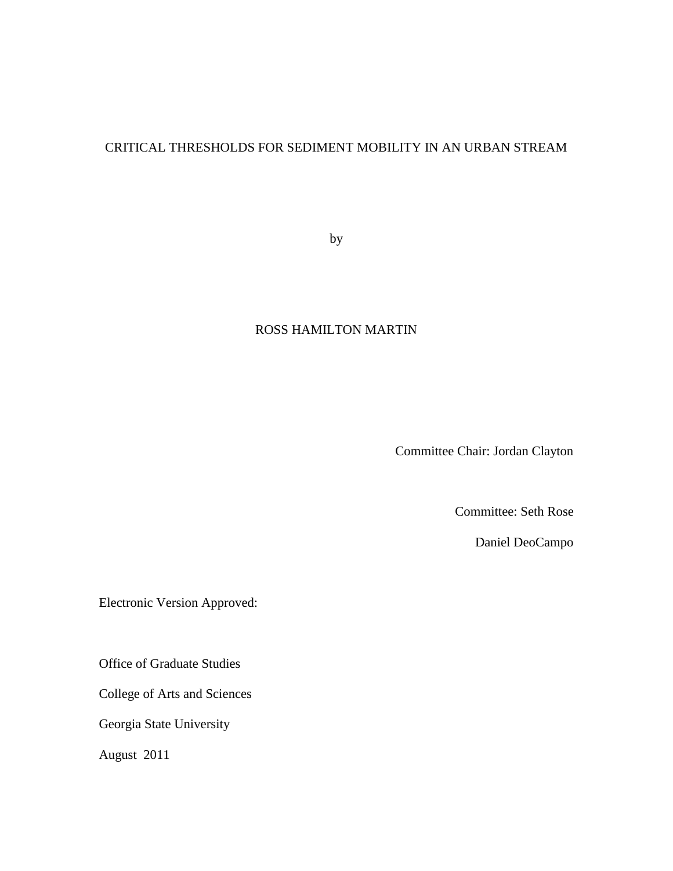## CRITICAL THRESHOLDS FOR SEDIMENT MOBILITY IN AN URBAN STREAM

by

## ROSS HAMILTON MARTIN

Committee Chair: Jordan Clayton

Committee: Seth Rose

Daniel DeoCampo

Electronic Version Approved:

Office of Graduate Studies

College of Arts and Sciences

Georgia State University

August 2011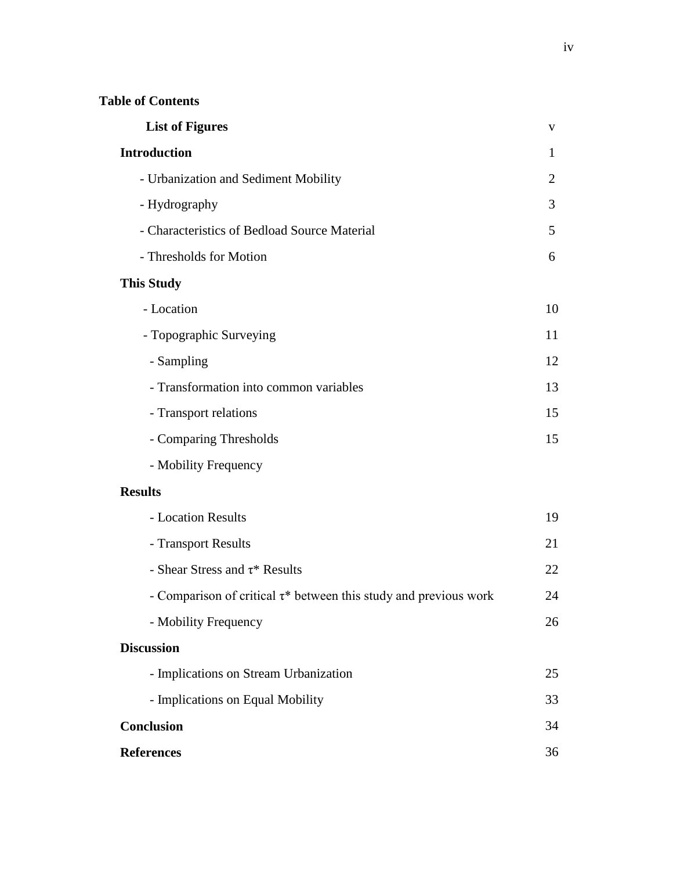| <b>List of Figures</b>                                                 | $\mathbf{V}$ |
|------------------------------------------------------------------------|--------------|
| <b>Introduction</b>                                                    | 1            |
| - Urbanization and Sediment Mobility                                   | 2            |
| - Hydrography                                                          | 3            |
| - Characteristics of Bedload Source Material                           | 5            |
| - Thresholds for Motion                                                | 6            |
| <b>This Study</b>                                                      |              |
| - Location                                                             | 10           |
| - Topographic Surveying                                                | 11           |
| - Sampling                                                             | 12           |
| - Transformation into common variables                                 | 13           |
| - Transport relations                                                  | 15           |
| - Comparing Thresholds                                                 | 15           |
| - Mobility Frequency                                                   |              |
| <b>Results</b>                                                         |              |
| - Location Results                                                     | 19           |
| - Transport Results                                                    | 21           |
| - Shear Stress and $\tau$ * Results                                    | 22           |
| - Comparison of critical $\tau^*$ between this study and previous work | 24           |
| - Mobility Frequency                                                   | 26           |
| <b>Discussion</b>                                                      |              |
| - Implications on Stream Urbanization                                  | 25           |
| - Implications on Equal Mobility                                       | 33           |
| <b>Conclusion</b>                                                      | 34           |
| <b>References</b>                                                      | 36           |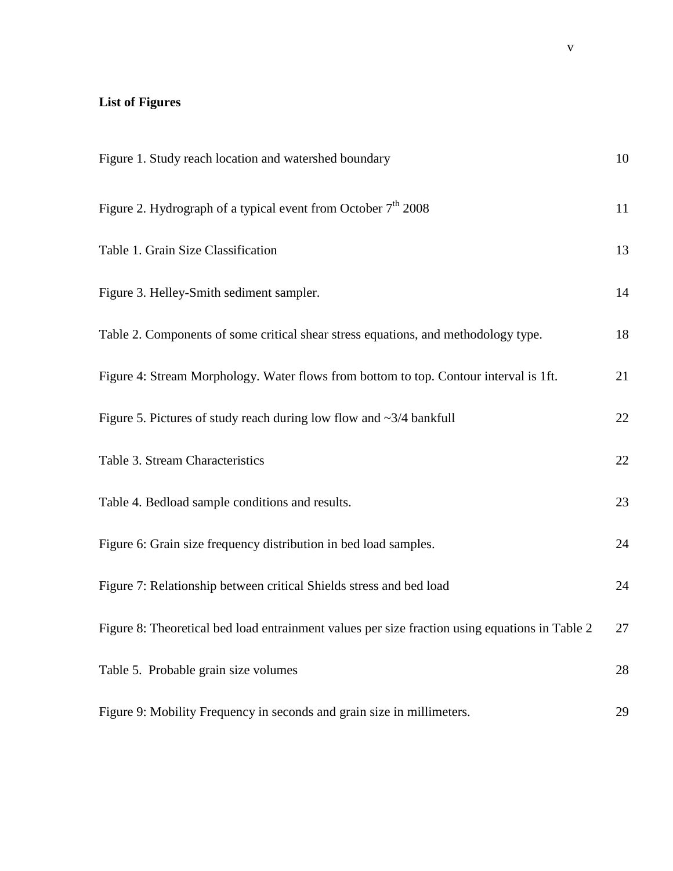# **List of Figures**

| Figure 1. Study reach location and watershed boundary                                          | 10 |
|------------------------------------------------------------------------------------------------|----|
| Figure 2. Hydrograph of a typical event from October $7th 2008$                                | 11 |
| Table 1. Grain Size Classification                                                             | 13 |
| Figure 3. Helley-Smith sediment sampler.                                                       | 14 |
| Table 2. Components of some critical shear stress equations, and methodology type.             | 18 |
| Figure 4: Stream Morphology. Water flows from bottom to top. Contour interval is 1ft.          | 21 |
| Figure 5. Pictures of study reach during low flow and $\sim$ 3/4 bankfull                      | 22 |
| Table 3. Stream Characteristics                                                                | 22 |
| Table 4. Bedload sample conditions and results.                                                | 23 |
| Figure 6: Grain size frequency distribution in bed load samples.                               | 24 |
| Figure 7: Relationship between critical Shields stress and bed load                            | 24 |
| Figure 8: Theoretical bed load entrainment values per size fraction using equations in Table 2 | 27 |
| Table 5. Probable grain size volumes                                                           | 28 |
| Figure 9: Mobility Frequency in seconds and grain size in millimeters.                         | 29 |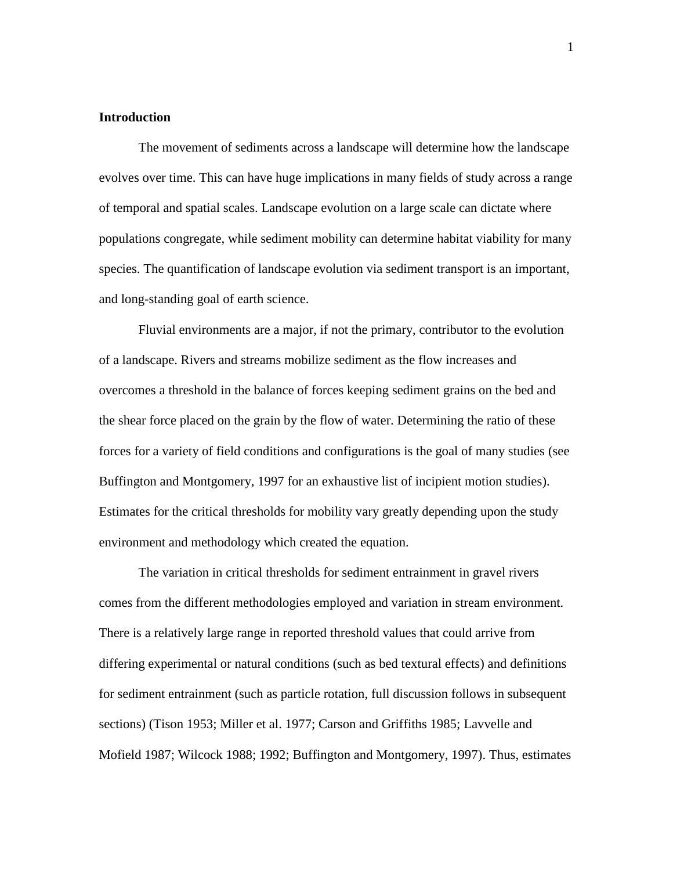#### **Introduction**

The movement of sediments across a landscape will determine how the landscape evolves over time. This can have huge implications in many fields of study across a range of temporal and spatial scales. Landscape evolution on a large scale can dictate where populations congregate, while sediment mobility can determine habitat viability for many species. The quantification of landscape evolution via sediment transport is an important, and long-standing goal of earth science.

Fluvial environments are a major, if not the primary, contributor to the evolution of a landscape. Rivers and streams mobilize sediment as the flow increases and overcomes a threshold in the balance of forces keeping sediment grains on the bed and the shear force placed on the grain by the flow of water. Determining the ratio of these forces for a variety of field conditions and configurations is the goal of many studies (see Buffington and Montgomery, 1997 for an exhaustive list of incipient motion studies). Estimates for the critical thresholds for mobility vary greatly depending upon the study environment and methodology which created the equation.

The variation in critical thresholds for sediment entrainment in gravel rivers comes from the different methodologies employed and variation in stream environment. There is a relatively large range in reported threshold values that could arrive from differing experimental or natural conditions (such as bed textural effects) and definitions for sediment entrainment (such as particle rotation, full discussion follows in subsequent sections) (Tison 1953; Miller et al. 1977; Carson and Griffiths 1985; Lavvelle and Mofield 1987; Wilcock 1988; 1992; Buffington and Montgomery, 1997). Thus, estimates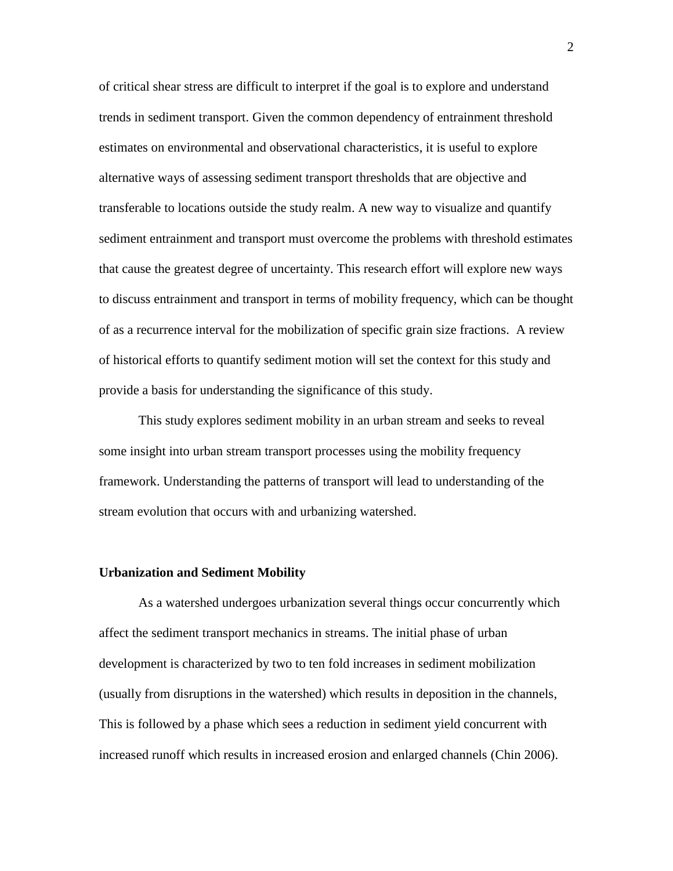of critical shear stress are difficult to interpret if the goal is to explore and understand trends in sediment transport. Given the common dependency of entrainment threshold estimates on environmental and observational characteristics, it is useful to explore alternative ways of assessing sediment transport thresholds that are objective and transferable to locations outside the study realm. A new way to visualize and quantify sediment entrainment and transport must overcome the problems with threshold estimates that cause the greatest degree of uncertainty. This research effort will explore new ways to discuss entrainment and transport in terms of mobility frequency, which can be thought of as a recurrence interval for the mobilization of specific grain size fractions. A review of historical efforts to quantify sediment motion will set the context for this study and provide a basis for understanding the significance of this study.

This study explores sediment mobility in an urban stream and seeks to reveal some insight into urban stream transport processes using the mobility frequency framework. Understanding the patterns of transport will lead to understanding of the stream evolution that occurs with and urbanizing watershed.

#### **Urbanization and Sediment Mobility**

As a watershed undergoes urbanization several things occur concurrently which affect the sediment transport mechanics in streams. The initial phase of urban development is characterized by two to ten fold increases in sediment mobilization (usually from disruptions in the watershed) which results in deposition in the channels, This is followed by a phase which sees a reduction in sediment yield concurrent with increased runoff which results in increased erosion and enlarged channels (Chin 2006).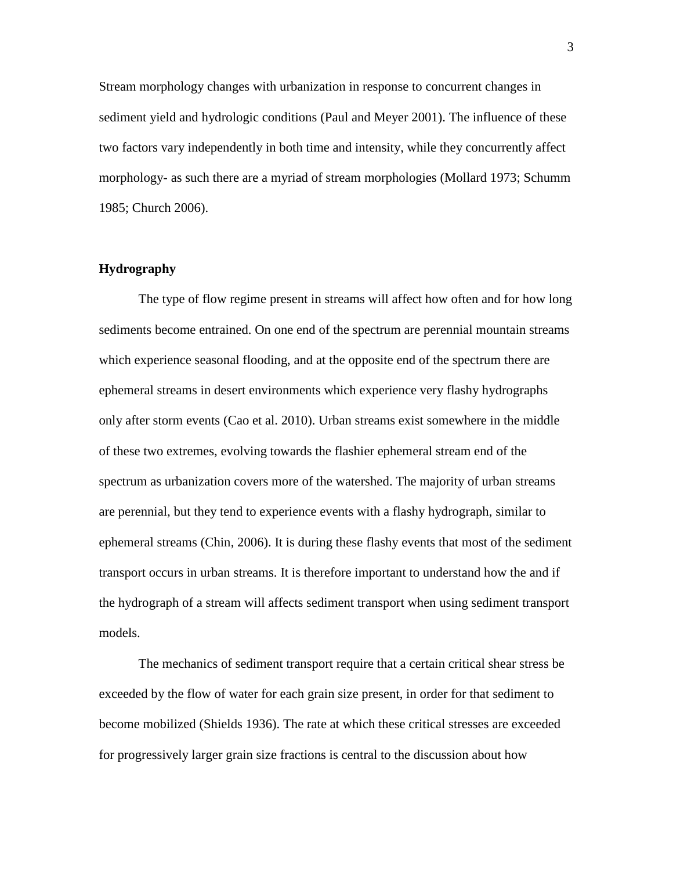Stream morphology changes with urbanization in response to concurrent changes in sediment yield and hydrologic conditions (Paul and Meyer 2001). The influence of these two factors vary independently in both time and intensity, while they concurrently affect morphology- as such there are a myriad of stream morphologies (Mollard 1973; Schumm 1985; Church 2006).

## **Hydrography**

The type of flow regime present in streams will affect how often and for how long sediments become entrained. On one end of the spectrum are perennial mountain streams which experience seasonal flooding, and at the opposite end of the spectrum there are ephemeral streams in desert environments which experience very flashy hydrographs only after storm events (Cao et al. 2010). Urban streams exist somewhere in the middle of these two extremes, evolving towards the flashier ephemeral stream end of the spectrum as urbanization covers more of the watershed. The majority of urban streams are perennial, but they tend to experience events with a flashy hydrograph, similar to ephemeral streams (Chin, 2006). It is during these flashy events that most of the sediment transport occurs in urban streams. It is therefore important to understand how the and if the hydrograph of a stream will affects sediment transport when using sediment transport models.

The mechanics of sediment transport require that a certain critical shear stress be exceeded by the flow of water for each grain size present, in order for that sediment to become mobilized (Shields 1936). The rate at which these critical stresses are exceeded for progressively larger grain size fractions is central to the discussion about how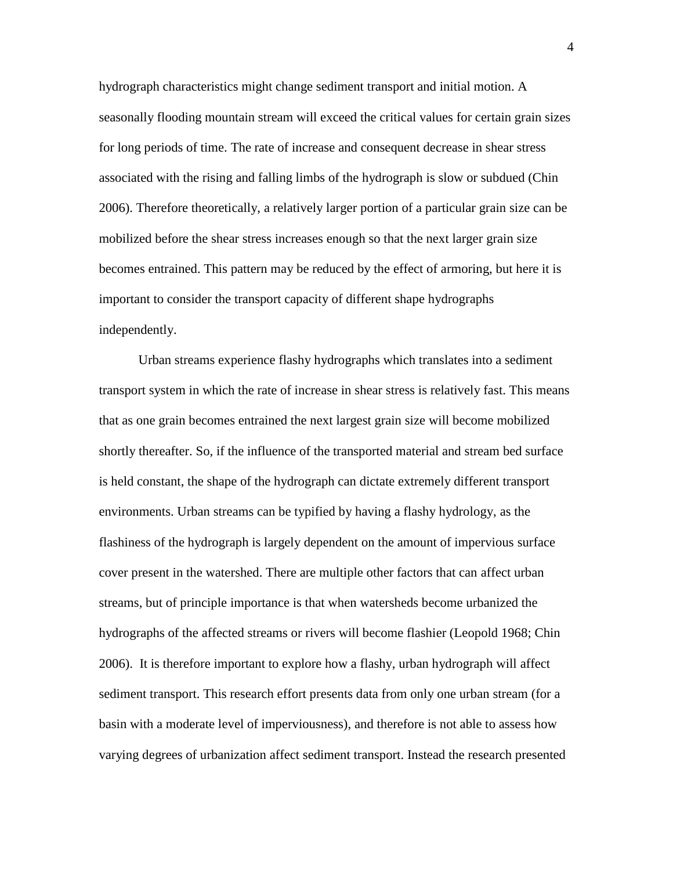hydrograph characteristics might change sediment transport and initial motion. A seasonally flooding mountain stream will exceed the critical values for certain grain sizes for long periods of time. The rate of increase and consequent decrease in shear stress associated with the rising and falling limbs of the hydrograph is slow or subdued (Chin 2006). Therefore theoretically, a relatively larger portion of a particular grain size can be mobilized before the shear stress increases enough so that the next larger grain size becomes entrained. This pattern may be reduced by the effect of armoring, but here it is important to consider the transport capacity of different shape hydrographs independently.

Urban streams experience flashy hydrographs which translates into a sediment transport system in which the rate of increase in shear stress is relatively fast. This means that as one grain becomes entrained the next largest grain size will become mobilized shortly thereafter. So, if the influence of the transported material and stream bed surface is held constant, the shape of the hydrograph can dictate extremely different transport environments. Urban streams can be typified by having a flashy hydrology, as the flashiness of the hydrograph is largely dependent on the amount of impervious surface cover present in the watershed. There are multiple other factors that can affect urban streams, but of principle importance is that when watersheds become urbanized the hydrographs of the affected streams or rivers will become flashier (Leopold 1968; Chin 2006). It is therefore important to explore how a flashy, urban hydrograph will affect sediment transport. This research effort presents data from only one urban stream (for a basin with a moderate level of imperviousness), and therefore is not able to assess how varying degrees of urbanization affect sediment transport. Instead the research presented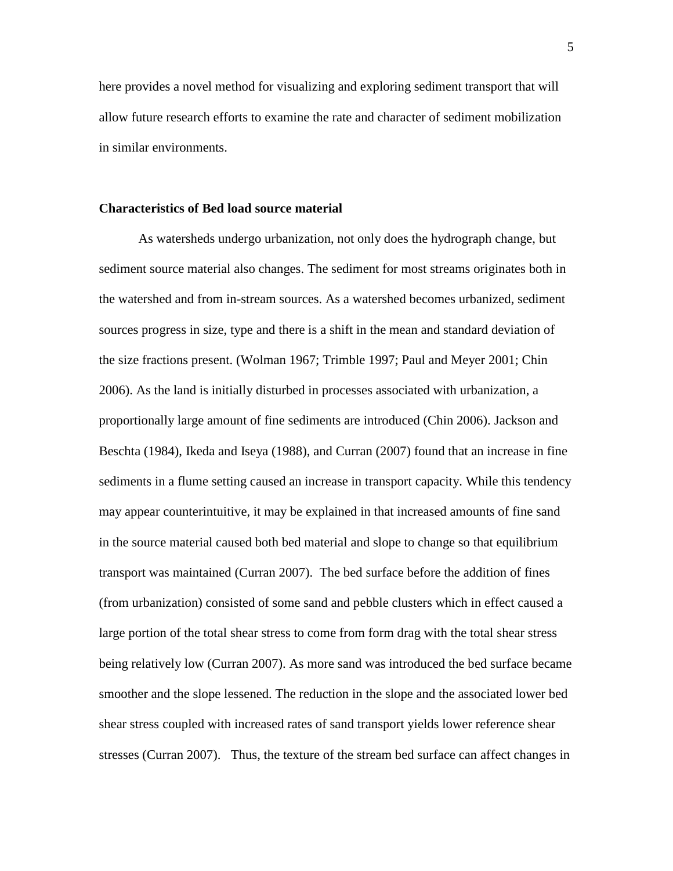here provides a novel method for visualizing and exploring sediment transport that will allow future research efforts to examine the rate and character of sediment mobilization in similar environments.

### **Characteristics of Bed load source material**

As watersheds undergo urbanization, not only does the hydrograph change, but sediment source material also changes. The sediment for most streams originates both in the watershed and from in-stream sources. As a watershed becomes urbanized, sediment sources progress in size, type and there is a shift in the mean and standard deviation of the size fractions present. (Wolman 1967; Trimble 1997; Paul and Meyer 2001; Chin 2006). As the land is initially disturbed in processes associated with urbanization, a proportionally large amount of fine sediments are introduced (Chin 2006). Jackson and Beschta (1984), Ikeda and Iseya (1988), and Curran (2007) found that an increase in fine sediments in a flume setting caused an increase in transport capacity. While this tendency may appear counterintuitive, it may be explained in that increased amounts of fine sand in the source material caused both bed material and slope to change so that equilibrium transport was maintained (Curran 2007). The bed surface before the addition of fines (from urbanization) consisted of some sand and pebble clusters which in effect caused a large portion of the total shear stress to come from form drag with the total shear stress being relatively low (Curran 2007). As more sand was introduced the bed surface became smoother and the slope lessened. The reduction in the slope and the associated lower bed shear stress coupled with increased rates of sand transport yields lower reference shear stresses (Curran 2007). Thus, the texture of the stream bed surface can affect changes in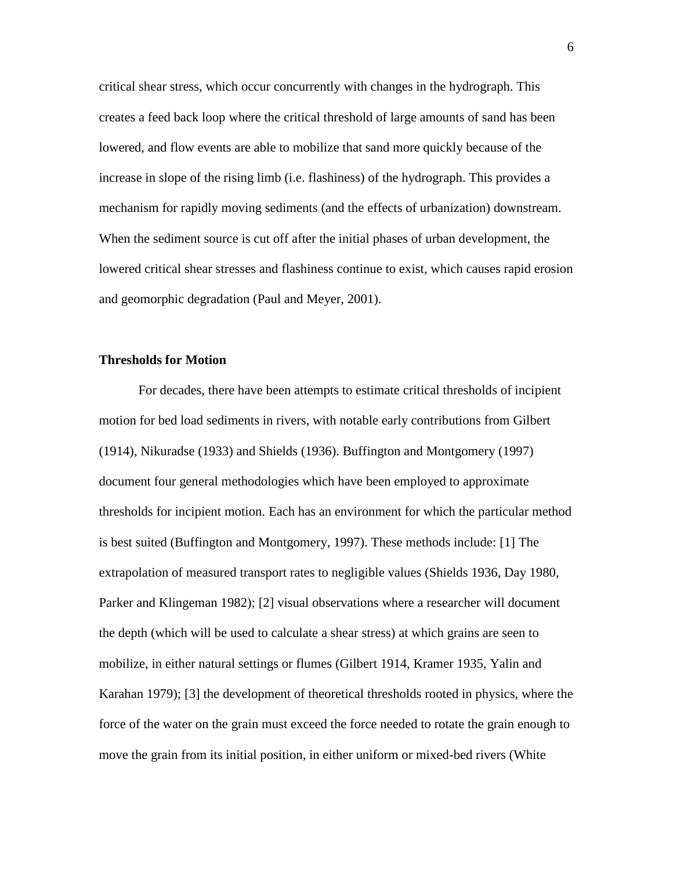critical shear stress, which occur concurrently with changes in the hydrograph. This creates a feed back loop where the critical threshold of large amounts of sand has been lowered, and flow events are able to mobilize that sand more quickly because of the increase in slope of the rising limb (i.e. flashiness) of the hydrograph. This provides a mechanism for rapidly moving sediments (and the effects of urbanization) downstream. When the sediment source is cut off after the initial phases of urban development, the lowered critical shear stresses and flashiness continue to exist, which causes rapid erosion and geomorphic degradation (Paul and Meyer, 2001).

## **Thresholds for Motion**

For decades, there have been attempts to estimate critical thresholds of incipient motion for bed load sediments in rivers, with notable early contributions from Gilbert (1914), Nikuradse (1933) and Shields (1936). Buffington and Montgomery (1997) document four general methodologies which have been employed to approximate thresholds for incipient motion. Each has an environment for which the particular method is best suited (Buffington and Montgomery, 1997). These methods include: [1] The extrapolation of measured transport rates to negligible values (Shields 1936, Day 1980, Parker and Klingeman 1982); [2] visual observations where a researcher will document the depth (which will be used to calculate a shear stress) at which grains are seen to mobilize, in either natural settings or flumes (Gilbert 1914, Kramer 1935, Yalin and Karahan 1979); [3] the development of theoretical thresholds rooted in physics, where the force of the water on the grain must exceed the force needed to rotate the grain enough to move the grain from its initial position, in either uniform or mixed-bed rivers (White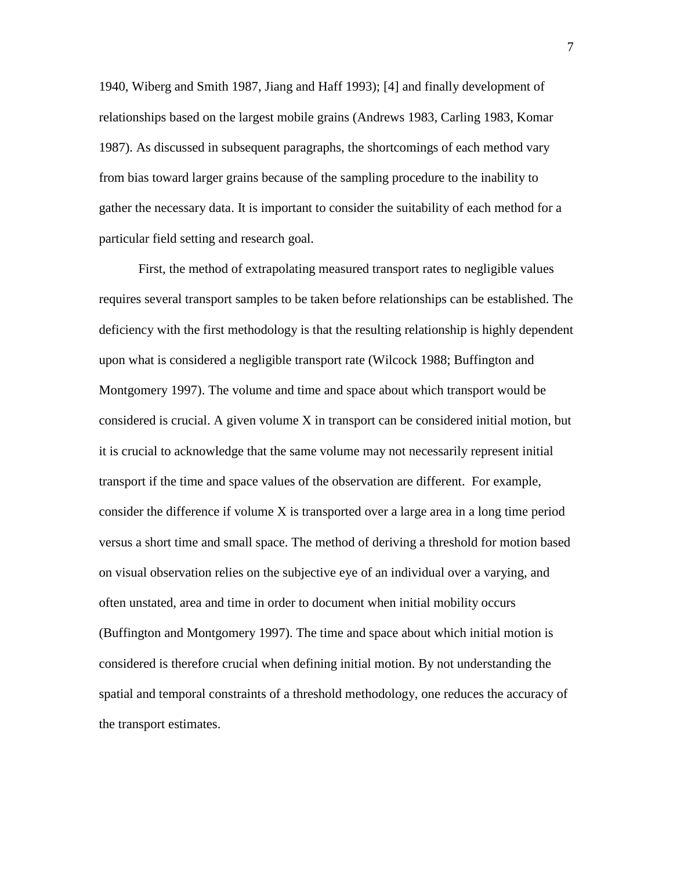1940, Wiberg and Smith 1987, Jiang and Haff 1993); [4] and finally development of relationships based on the largest mobile grains (Andrews 1983, Carling 1983, Komar 1987). As discussed in subsequent paragraphs, the shortcomings of each method vary from bias toward larger grains because of the sampling procedure to the inability to gather the necessary data. It is important to consider the suitability of each method for a particular field setting and research goal.

First, the method of extrapolating measured transport rates to negligible values requires several transport samples to be taken before relationships can be established. The deficiency with the first methodology is that the resulting relationship is highly dependent upon what is considered a negligible transport rate (Wilcock 1988; Buffington and Montgomery 1997). The volume and time and space about which transport would be considered is crucial. A given volume X in transport can be considered initial motion, but it is crucial to acknowledge that the same volume may not necessarily represent initial transport if the time and space values of the observation are different. For example, consider the difference if volume X is transported over a large area in a long time period versus a short time and small space. The method of deriving a threshold for motion based on visual observation relies on the subjective eye of an individual over a varying, and often unstated, area and time in order to document when initial mobility occurs (Buffington and Montgomery 1997). The time and space about which initial motion is considered is therefore crucial when defining initial motion. By not understanding the spatial and temporal constraints of a threshold methodology, one reduces the accuracy of the transport estimates.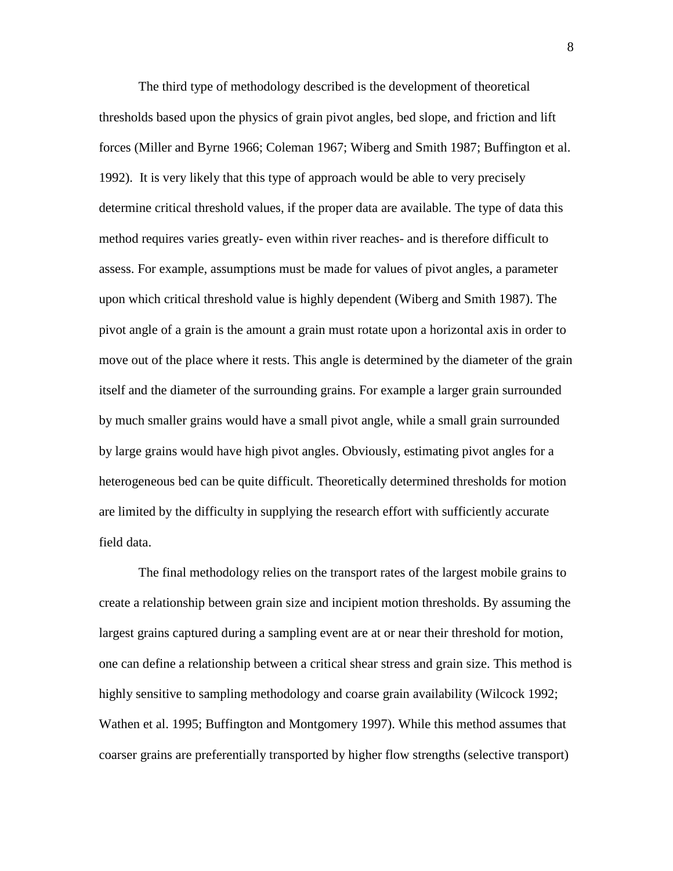The third type of methodology described is the development of theoretical thresholds based upon the physics of grain pivot angles, bed slope, and friction and lift forces (Miller and Byrne 1966; Coleman 1967; Wiberg and Smith 1987; Buffington et al. 1992). It is very likely that this type of approach would be able to very precisely determine critical threshold values, if the proper data are available. The type of data this method requires varies greatly- even within river reaches- and is therefore difficult to assess. For example, assumptions must be made for values of pivot angles, a parameter upon which critical threshold value is highly dependent (Wiberg and Smith 1987). The pivot angle of a grain is the amount a grain must rotate upon a horizontal axis in order to move out of the place where it rests. This angle is determined by the diameter of the grain itself and the diameter of the surrounding grains. For example a larger grain surrounded by much smaller grains would have a small pivot angle, while a small grain surrounded by large grains would have high pivot angles. Obviously, estimating pivot angles for a heterogeneous bed can be quite difficult. Theoretically determined thresholds for motion are limited by the difficulty in supplying the research effort with sufficiently accurate field data.

The final methodology relies on the transport rates of the largest mobile grains to create a relationship between grain size and incipient motion thresholds. By assuming the largest grains captured during a sampling event are at or near their threshold for motion, one can define a relationship between a critical shear stress and grain size. This method is highly sensitive to sampling methodology and coarse grain availability (Wilcock 1992; Wathen et al. 1995; Buffington and Montgomery 1997). While this method assumes that coarser grains are preferentially transported by higher flow strengths (selective transport)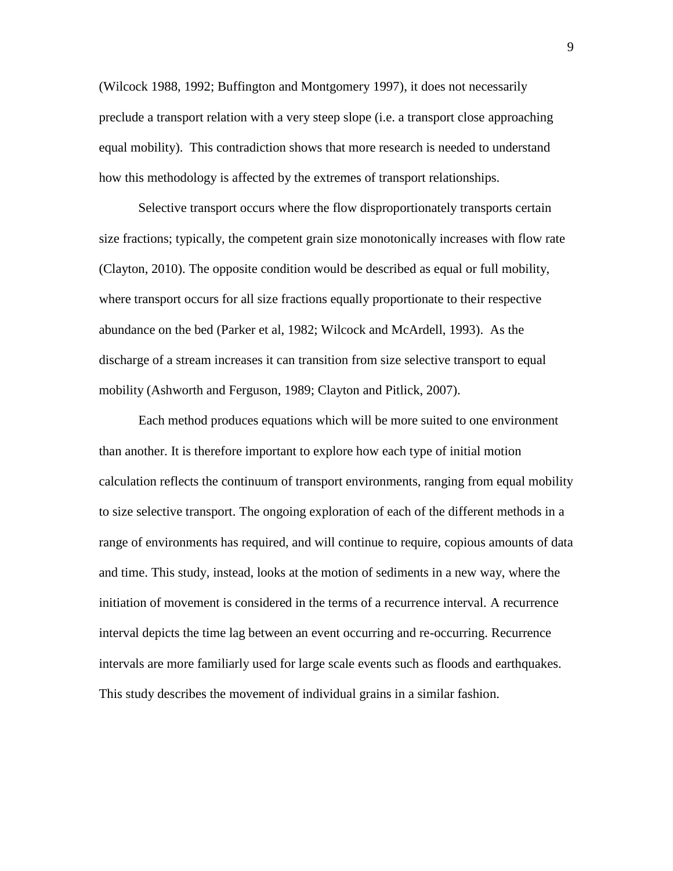(Wilcock 1988, 1992; Buffington and Montgomery 1997), it does not necessarily preclude a transport relation with a very steep slope (i.e. a transport close approaching equal mobility). This contradiction shows that more research is needed to understand how this methodology is affected by the extremes of transport relationships.

Selective transport occurs where the flow disproportionately transports certain size fractions; typically, the competent grain size monotonically increases with flow rate (Clayton, 2010). The opposite condition would be described as equal or full mobility, where transport occurs for all size fractions equally proportionate to their respective abundance on the bed (Parker et al, 1982; Wilcock and McArdell, 1993). As the discharge of a stream increases it can transition from size selective transport to equal mobility (Ashworth and Ferguson, 1989; Clayton and Pitlick, 2007).

Each method produces equations which will be more suited to one environment than another. It is therefore important to explore how each type of initial motion calculation reflects the continuum of transport environments, ranging from equal mobility to size selective transport. The ongoing exploration of each of the different methods in a range of environments has required, and will continue to require, copious amounts of data and time. This study, instead, looks at the motion of sediments in a new way, where the initiation of movement is considered in the terms of a recurrence interval. A recurrence interval depicts the time lag between an event occurring and re-occurring. Recurrence intervals are more familiarly used for large scale events such as floods and earthquakes. This study describes the movement of individual grains in a similar fashion.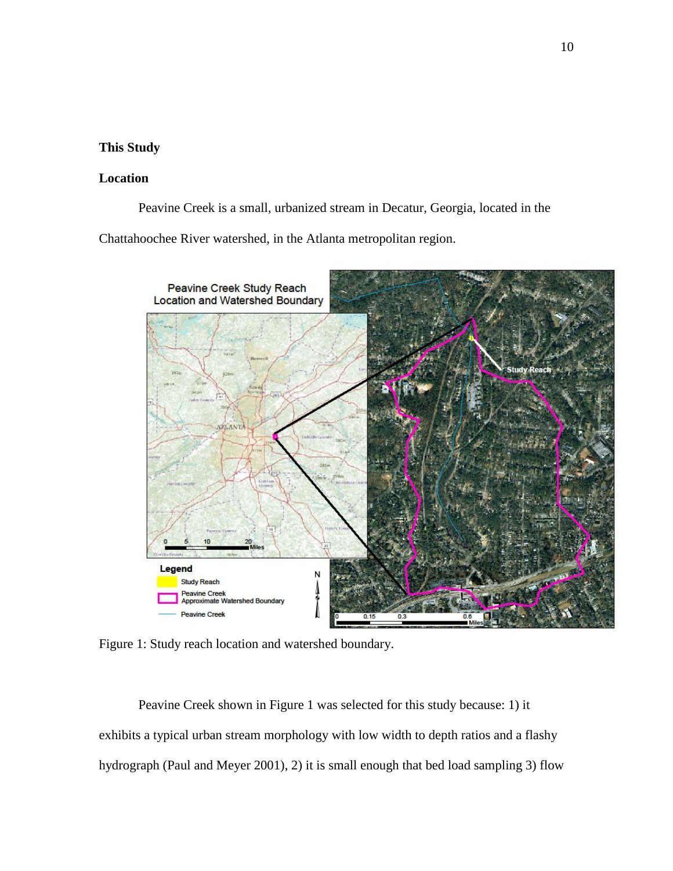## **This Study**

## **Location**

Peavine Creek is a small, urbanized stream in Decatur, Georgia, located in the

Chattahoochee River watershed, in the Atlanta metropolitan region.



Figure 1: Study reach location and watershed boundary.

Peavine Creek shown in Figure 1 was selected for this study because: 1) it exhibits a typical urban stream morphology with low width to depth ratios and a flashy hydrograph (Paul and Meyer 2001), 2) it is small enough that bed load sampling 3) flow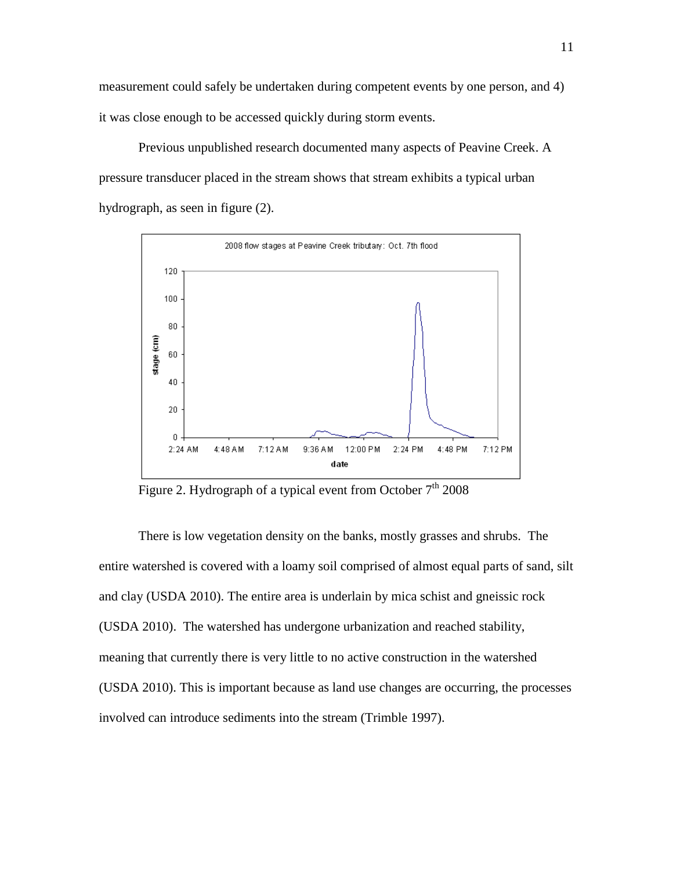measurement could safely be undertaken during competent events by one person, and 4) it was close enough to be accessed quickly during storm events.

Previous unpublished research documented many aspects of Peavine Creek. A pressure transducer placed in the stream shows that stream exhibits a typical urban hydrograph, as seen in figure (2).



Figure 2. Hydrograph of a typical event from October  $7<sup>th</sup>$  2008

There is low vegetation density on the banks, mostly grasses and shrubs. The entire watershed is covered with a loamy soil comprised of almost equal parts of sand, silt and clay (USDA 2010). The entire area is underlain by mica schist and gneissic rock (USDA 2010). The watershed has undergone urbanization and reached stability, meaning that currently there is very little to no active construction in the watershed (USDA 2010). This is important because as land use changes are occurring, the processes involved can introduce sediments into the stream (Trimble 1997).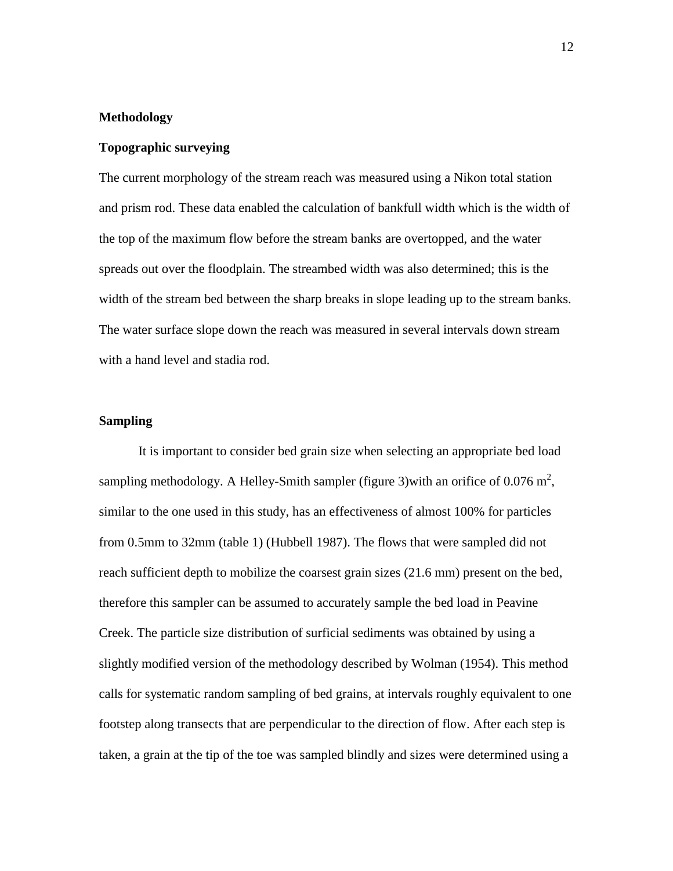### **Methodology**

#### **Topographic surveying**

The current morphology of the stream reach was measured using a Nikon total station and prism rod. These data enabled the calculation of bankfull width which is the width of the top of the maximum flow before the stream banks are overtopped, and the water spreads out over the floodplain. The streambed width was also determined; this is the width of the stream bed between the sharp breaks in slope leading up to the stream banks. The water surface slope down the reach was measured in several intervals down stream with a hand level and stadia rod.

## **Sampling**

It is important to consider bed grain size when selecting an appropriate bed load sampling methodology. A Helley-Smith sampler (figure 3) with an orifice of 0.076  $m^2$ , similar to the one used in this study, has an effectiveness of almost 100% for particles from 0.5mm to 32mm (table 1) (Hubbell 1987). The flows that were sampled did not reach sufficient depth to mobilize the coarsest grain sizes (21.6 mm) present on the bed, therefore this sampler can be assumed to accurately sample the bed load in Peavine Creek. The particle size distribution of surficial sediments was obtained by using a slightly modified version of the methodology described by Wolman (1954). This method calls for systematic random sampling of bed grains, at intervals roughly equivalent to one footstep along transects that are perpendicular to the direction of flow. After each step is taken, a grain at the tip of the toe was sampled blindly and sizes were determined using a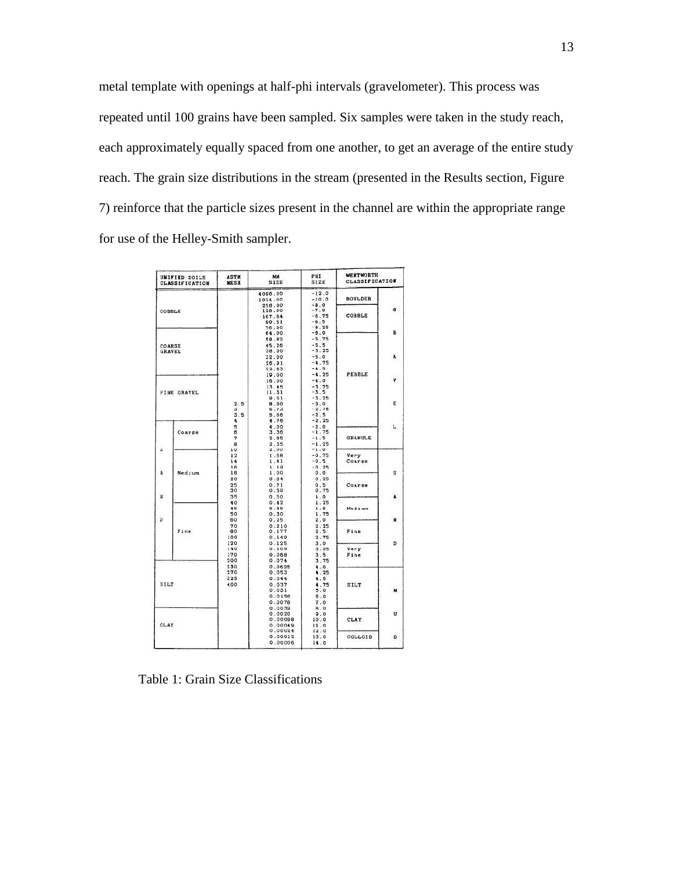metal template with openings at half-phi intervals (gravelometer). This process was repeated until 100 grains have been sampled. Six samples were taken in the study reach, each approximately equally spaced from one another, to get an average of the entire study reach. The grain size distributions in the stream (presented in the Results section, Figure 7) reinforce that the particle sizes present in the channel are within the appropriate range for use of the Helley-Smith sampler.

|      | <b>UNIFIED SOILS</b><br><b>CLASSIFICATION</b> | <b>ASTM</b><br><b>MESH</b> | MM<br>SIZE                                 | PHI<br>SIZE                       | WENTWORTH<br>CLASSIFICATION      |                                        |        |   |
|------|-----------------------------------------------|----------------------------|--------------------------------------------|-----------------------------------|----------------------------------|----------------------------------------|--------|---|
|      |                                               |                            | 4096.00<br>1024.00<br>256.00               | $-12.0$<br>$-10.0$<br>$-8.0$      | <b>BOULDER</b>                   |                                        |        |   |
|      | COBBLE                                        |                            | 128.00<br>107.64<br>90.51                  | $-7.0$<br>$-6.75$<br>$-6.5$       | COBBLE                           | $\sigma$                               |        |   |
|      |                                               |                            | 76.00<br>64.00<br>58.82                    | $-6.25$<br>$-6.0$<br>$-5.75$      |                                  | $\mathbf R$                            |        |   |
|      | COARSE<br><b>GRAVEL</b>                       |                            | 45.26<br>38.00<br>32.00                    | $-5.5$<br>$-5.25$<br>$-5.0$       |                                  | A                                      |        |   |
|      |                                               |                            | 26.91<br>22.63                             | $-4.75$<br>$-4.5$                 |                                  |                                        |        |   |
|      |                                               | FINE GRAVEL                |                                            |                                   | 19.00<br>16.00<br>13.45<br>11.31 | $-4.25$<br>$-4.0$<br>$-3.75$<br>$-3.5$ | PEBBLE | V |
|      |                                               | 2.5<br>3                   | 9.51<br>8.00<br>6.73                       | $-3.25$<br>$-3.0$<br>$-2.75$      |                                  | E                                      |        |   |
|      |                                               | 3.5<br>4                   | 5.66<br>4.76<br>4.00                       | $-2.5$<br>$-2.25$<br>$-2.0$       |                                  |                                        |        |   |
|      | Coarse                                        | 5<br>6<br>7<br>8           | 3.36<br>2.85<br>2.35                       | $-1.75$<br>$-1.5$<br>$-1.25$      | <b>GRANULE</b>                   | L                                      |        |   |
| ×    |                                               | 10<br>12                   | 2.00<br>1.68                               | $-1.0$<br>$-0.75$                 | Very                             |                                        |        |   |
|      |                                               | 14<br>16                   | 1.41<br>1, 19                              | $-0.5$<br>$-0.25$                 | Coarse                           |                                        |        |   |
| ٨    | Medium                                        | 18<br>20                   | 1.00<br>0.84                               | 0.0<br>0.25                       |                                  | s                                      |        |   |
|      |                                               | 25<br>30                   | 0.71<br>0.59                               | 0.5<br>0.75                       | Coarse                           |                                        |        |   |
| N    |                                               | 35<br>40<br>45             | 0.50<br>0.42<br>0.35                       | 1.0<br>1.25<br>1.5                | Medium                           | A                                      |        |   |
| D    |                                               | 50<br>60                   | 0.30<br>0.25                               | 1.75<br>2.0                       |                                  | N                                      |        |   |
|      | Fine                                          | 70<br>80<br>100            | 0.210<br>0.177<br>0.149                    | 2.25<br>2.5<br>2.75               | Fine                             |                                        |        |   |
|      |                                               | 120<br>140<br>170<br>200   | 0.125<br>0.105<br>0.088<br>0.074           | 3.0<br>3.25<br>3.5<br>3.75        | Very<br>Fine                     | D                                      |        |   |
| SILT |                                               | 230<br>270<br>325<br>400   | 0.0625<br>0.053<br>0.044<br>0.037<br>0.031 | 4.0<br>4.25<br>4.5<br>4.75<br>5.0 | SILT                             | M                                      |        |   |
|      |                                               |                            | 0.0156<br>0.0078                           | 6.0<br>7.0                        |                                  |                                        |        |   |
| CLAY |                                               |                            | 0.0039<br>0.0020<br>0.00098<br>0.00049     | B.0<br>9.0<br>10.0<br>11.0        | CLAY                             | U                                      |        |   |
|      |                                               |                            | 0.00024<br>0.00012                         | 12.0<br>13.0                      | COLLOID                          | D                                      |        |   |

Table 1: Grain Size Classifications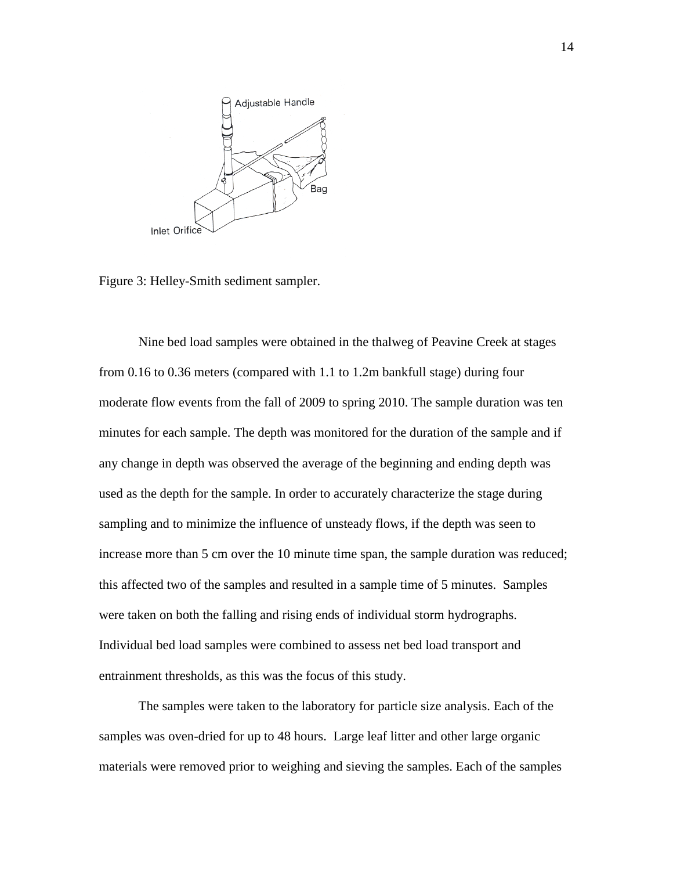

Figure 3: Helley-Smith sediment sampler.

Nine bed load samples were obtained in the thalweg of Peavine Creek at stages from 0.16 to 0.36 meters (compared with 1.1 to 1.2m bankfull stage) during four moderate flow events from the fall of 2009 to spring 2010. The sample duration was ten minutes for each sample. The depth was monitored for the duration of the sample and if any change in depth was observed the average of the beginning and ending depth was used as the depth for the sample. In order to accurately characterize the stage during sampling and to minimize the influence of unsteady flows, if the depth was seen to increase more than 5 cm over the 10 minute time span, the sample duration was reduced; this affected two of the samples and resulted in a sample time of 5 minutes. Samples were taken on both the falling and rising ends of individual storm hydrographs. Individual bed load samples were combined to assess net bed load transport and entrainment thresholds, as this was the focus of this study.

The samples were taken to the laboratory for particle size analysis. Each of the samples was oven-dried for up to 48 hours. Large leaf litter and other large organic materials were removed prior to weighing and sieving the samples. Each of the samples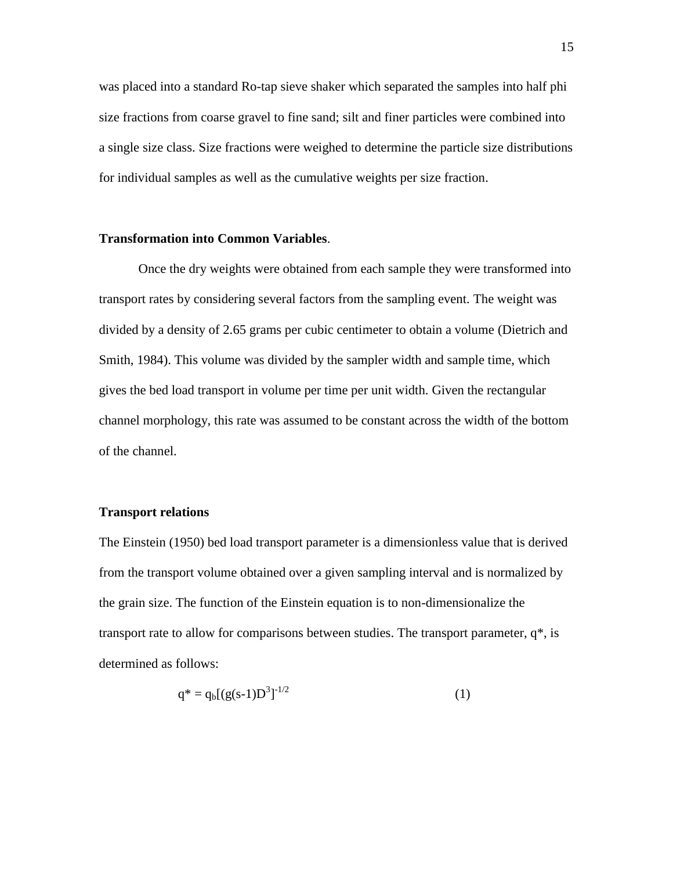was placed into a standard Ro-tap sieve shaker which separated the samples into half phi size fractions from coarse gravel to fine sand; silt and finer particles were combined into a single size class. Size fractions were weighed to determine the particle size distributions for individual samples as well as the cumulative weights per size fraction.

### **Transformation into Common Variables**.

Once the dry weights were obtained from each sample they were transformed into transport rates by considering several factors from the sampling event. The weight was divided by a density of 2.65 grams per cubic centimeter to obtain a volume (Dietrich and Smith, 1984). This volume was divided by the sampler width and sample time, which gives the bed load transport in volume per time per unit width. Given the rectangular channel morphology, this rate was assumed to be constant across the width of the bottom of the channel.

## **Transport relations**

The Einstein (1950) bed load transport parameter is a dimensionless value that is derived from the transport volume obtained over a given sampling interval and is normalized by the grain size. The function of the Einstein equation is to non-dimensionalize the transport rate to allow for comparisons between studies. The transport parameter,  $q^*$ , is determined as follows:

$$
q^* = q_b [(g(s-1)D^3]^{-1/2}
$$
 (1)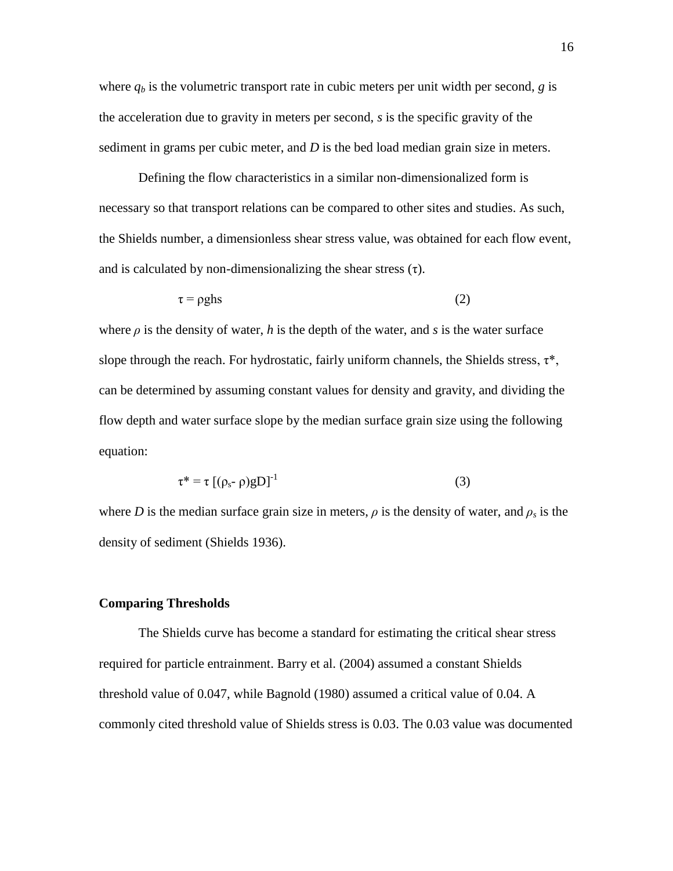where  $q_b$  is the volumetric transport rate in cubic meters per unit width per second, *g* is the acceleration due to gravity in meters per second, *s* is the specific gravity of the sediment in grams per cubic meter, and *D* is the bed load median grain size in meters.

Defining the flow characteristics in a similar non-dimensionalized form is necessary so that transport relations can be compared to other sites and studies. As such, the Shields number, a dimensionless shear stress value, was obtained for each flow event, and is calculated by non-dimensionalizing the shear stress  $(\tau)$ .

$$
\tau = \rho g h s \tag{2}
$$

where  $\rho$  is the density of water, *h* is the depth of the water, and *s* is the water surface slope through the reach. For hydrostatic, fairly uniform channels, the Shields stress,  $\tau^*$ , can be determined by assuming constant values for density and gravity, and dividing the flow depth and water surface slope by the median surface grain size using the following equation:

$$
\tau^* = \tau \left[ (\rho_{s^-} \rho) g D \right]^{-1} \tag{3}
$$

where *D* is the median surface grain size in meters,  $\rho$  is the density of water, and  $\rho_s$  is the density of sediment (Shields 1936).

#### **Comparing Thresholds**

The Shields curve has become a standard for estimating the critical shear stress required for particle entrainment. Barry et al. (2004) assumed a constant Shields threshold value of 0.047, while Bagnold (1980) assumed a critical value of 0.04. A commonly cited threshold value of Shields stress is 0.03. The 0.03 value was documented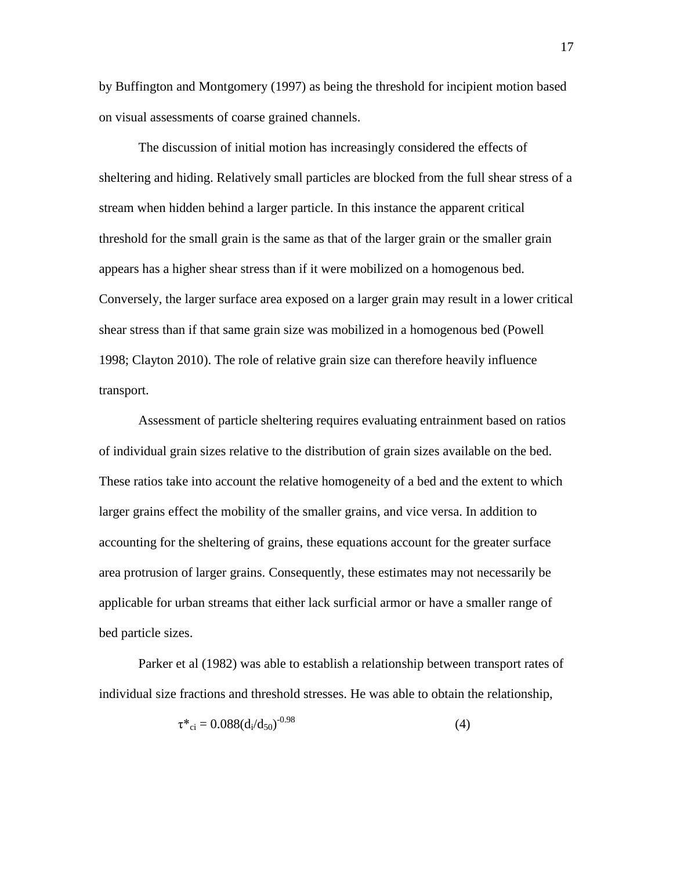by Buffington and Montgomery (1997) as being the threshold for incipient motion based on visual assessments of coarse grained channels.

The discussion of initial motion has increasingly considered the effects of sheltering and hiding. Relatively small particles are blocked from the full shear stress of a stream when hidden behind a larger particle. In this instance the apparent critical threshold for the small grain is the same as that of the larger grain or the smaller grain appears has a higher shear stress than if it were mobilized on a homogenous bed. Conversely, the larger surface area exposed on a larger grain may result in a lower critical shear stress than if that same grain size was mobilized in a homogenous bed (Powell 1998; Clayton 2010). The role of relative grain size can therefore heavily influence transport.

Assessment of particle sheltering requires evaluating entrainment based on ratios of individual grain sizes relative to the distribution of grain sizes available on the bed. These ratios take into account the relative homogeneity of a bed and the extent to which larger grains effect the mobility of the smaller grains, and vice versa. In addition to accounting for the sheltering of grains, these equations account for the greater surface area protrusion of larger grains. Consequently, these estimates may not necessarily be applicable for urban streams that either lack surficial armor or have a smaller range of bed particle sizes.

Parker et al (1982) was able to establish a relationship between transport rates of individual size fractions and threshold stresses. He was able to obtain the relationship,

$$
\tau^*{}_{ci} = 0.088(d_i/d_{50})^{-0.98}
$$
 (4)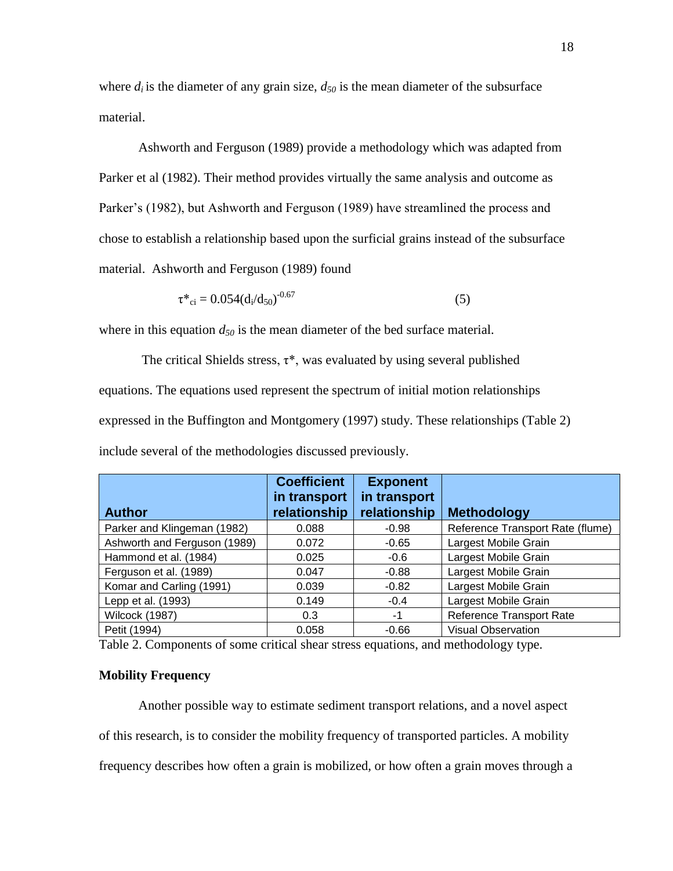where  $d_i$  is the diameter of any grain size,  $d_{50}$  is the mean diameter of the subsurface material.

Ashworth and Ferguson (1989) provide a methodology which was adapted from Parker et al (1982). Their method provides virtually the same analysis and outcome as Parker's (1982), but Ashworth and Ferguson (1989) have streamlined the process and chose to establish a relationship based upon the surficial grains instead of the subsurface material. Ashworth and Ferguson (1989) found

$$
\tau^*_{\rm ci} = 0.054(d_i/d_{50})^{-0.67}
$$
 (5)

where in this equation  $d_{50}$  is the mean diameter of the bed surface material.

The critical Shields stress,  $\tau^*$ , was evaluated by using several published equations. The equations used represent the spectrum of initial motion relationships expressed in the Buffington and Montgomery (1997) study. These relationships (Table 2) include several of the methodologies discussed previously.

| <b>Author</b>                | <b>Coefficient</b><br>in transport<br>relationship | <b>Exponent</b><br>in transport<br>relationship | <b>Methodology</b>               |
|------------------------------|----------------------------------------------------|-------------------------------------------------|----------------------------------|
| Parker and Klingeman (1982)  | 0.088                                              | $-0.98$                                         | Reference Transport Rate (flume) |
| Ashworth and Ferguson (1989) | 0.072                                              | $-0.65$                                         | Largest Mobile Grain             |
| Hammond et al. (1984)        | 0.025                                              | $-0.6$                                          | Largest Mobile Grain             |
| Ferguson et al. (1989)       | 0.047                                              | $-0.88$                                         | Largest Mobile Grain             |
| Komar and Carling (1991)     | 0.039                                              | $-0.82$                                         | Largest Mobile Grain             |
| Lepp et al. (1993)           | 0.149                                              | $-0.4$                                          | Largest Mobile Grain             |
| Wilcock (1987)               | 0.3                                                | -1                                              | Reference Transport Rate         |
| Petit (1994)                 | 0.058                                              | $-0.66$                                         | <b>Visual Observation</b>        |

Table 2. Components of some critical shear stress equations, and methodology type.

### **Mobility Frequency**

Another possible way to estimate sediment transport relations, and a novel aspect of this research, is to consider the mobility frequency of transported particles. A mobility frequency describes how often a grain is mobilized, or how often a grain moves through a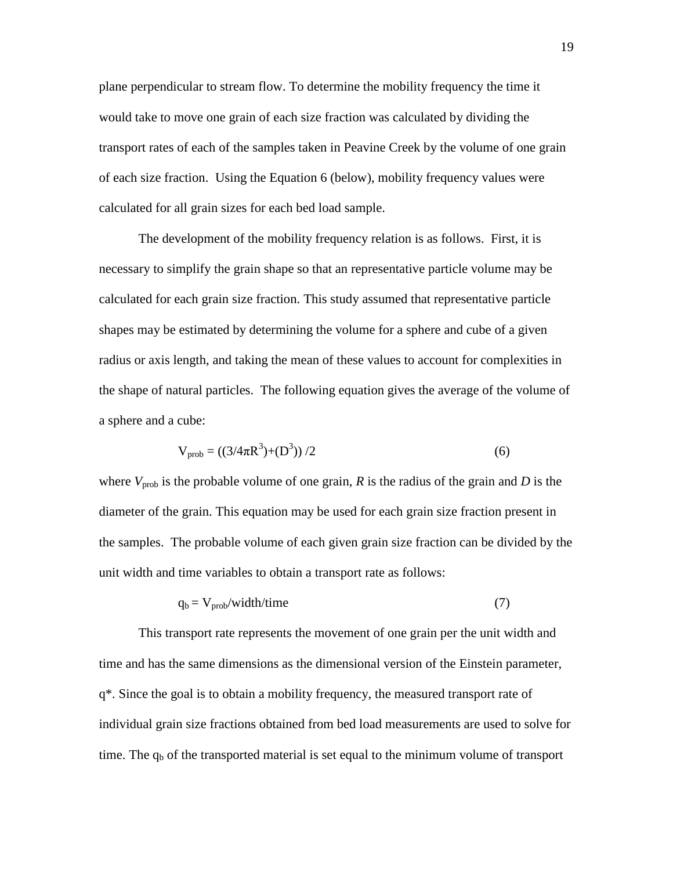plane perpendicular to stream flow. To determine the mobility frequency the time it would take to move one grain of each size fraction was calculated by dividing the transport rates of each of the samples taken in Peavine Creek by the volume of one grain of each size fraction. Using the Equation 6 (below), mobility frequency values were calculated for all grain sizes for each bed load sample.

The development of the mobility frequency relation is as follows. First, it is necessary to simplify the grain shape so that an representative particle volume may be calculated for each grain size fraction. This study assumed that representative particle shapes may be estimated by determining the volume for a sphere and cube of a given radius or axis length, and taking the mean of these values to account for complexities in the shape of natural particles. The following equation gives the average of the volume of a sphere and a cube:

$$
V_{prob} = ((3/4\pi R^3) + (D^3))/2
$$
 (6)

where  $V_{\text{prob}}$  is the probable volume of one grain, *R* is the radius of the grain and *D* is the diameter of the grain. This equation may be used for each grain size fraction present in the samples. The probable volume of each given grain size fraction can be divided by the unit width and time variables to obtain a transport rate as follows:

$$
q_b = V_{prob}/width/time
$$
 (7)

This transport rate represents the movement of one grain per the unit width and time and has the same dimensions as the dimensional version of the Einstein parameter, q\*. Since the goal is to obtain a mobility frequency, the measured transport rate of individual grain size fractions obtained from bed load measurements are used to solve for time. The  $q_b$  of the transported material is set equal to the minimum volume of transport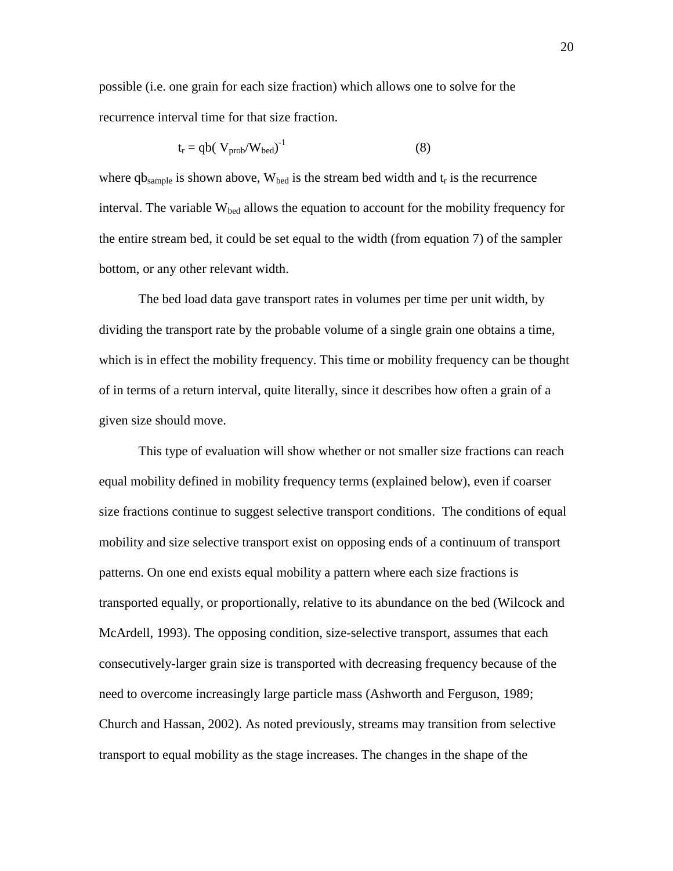possible (i.e. one grain for each size fraction) which allows one to solve for the recurrence interval time for that size fraction.

$$
t_{r} = qb(V_{prob}/W_{bed})^{-1}
$$
 (8)

where qb<sub>sample</sub> is shown above,  $W_{\text{bed}}$  is the stream bed width and  $t_r$  is the recurrence interval. The variable  $W_{\text{bed}}$  allows the equation to account for the mobility frequency for the entire stream bed, it could be set equal to the width (from equation 7) of the sampler bottom, or any other relevant width.

The bed load data gave transport rates in volumes per time per unit width, by dividing the transport rate by the probable volume of a single grain one obtains a time, which is in effect the mobility frequency. This time or mobility frequency can be thought of in terms of a return interval, quite literally, since it describes how often a grain of a given size should move.

This type of evaluation will show whether or not smaller size fractions can reach equal mobility defined in mobility frequency terms (explained below), even if coarser size fractions continue to suggest selective transport conditions. The conditions of equal mobility and size selective transport exist on opposing ends of a continuum of transport patterns. On one end exists equal mobility a pattern where each size fractions is transported equally, or proportionally, relative to its abundance on the bed (Wilcock and McArdell, 1993). The opposing condition, size-selective transport, assumes that each consecutively-larger grain size is transported with decreasing frequency because of the need to overcome increasingly large particle mass (Ashworth and Ferguson, 1989; Church and Hassan, 2002). As noted previously, streams may transition from selective transport to equal mobility as the stage increases. The changes in the shape of the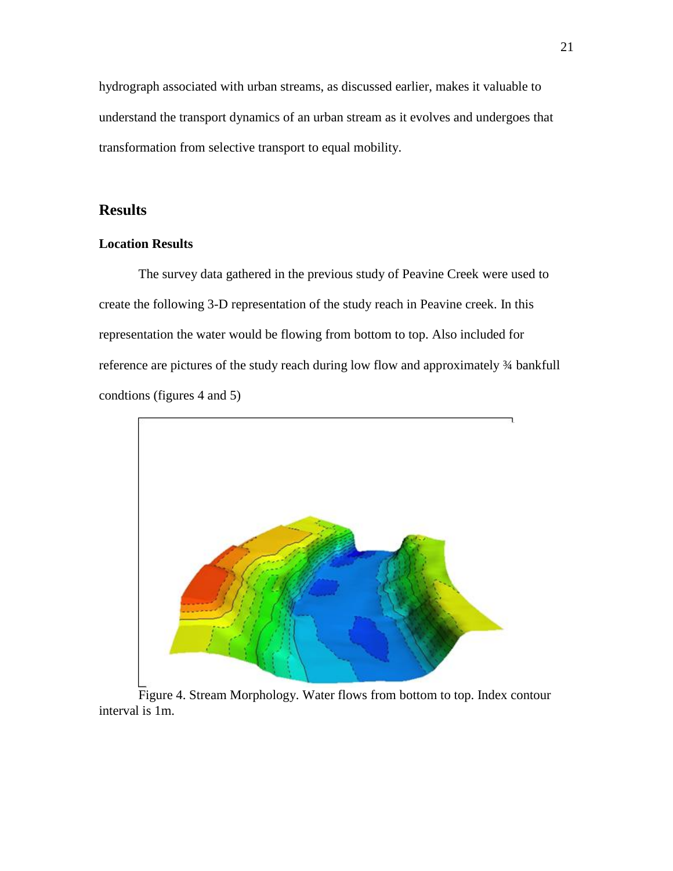hydrograph associated with urban streams, as discussed earlier, makes it valuable to understand the transport dynamics of an urban stream as it evolves and undergoes that transformation from selective transport to equal mobility.

## **Results**

## **Location Results**

The survey data gathered in the previous study of Peavine Creek were used to create the following 3-D representation of the study reach in Peavine creek. In this representation the water would be flowing from bottom to top. Also included for reference are pictures of the study reach during low flow and approximately ¾ bankfull condtions (figures 4 and 5)



Figure 4. Stream Morphology. Water flows from bottom to top. Index contour interval is 1m.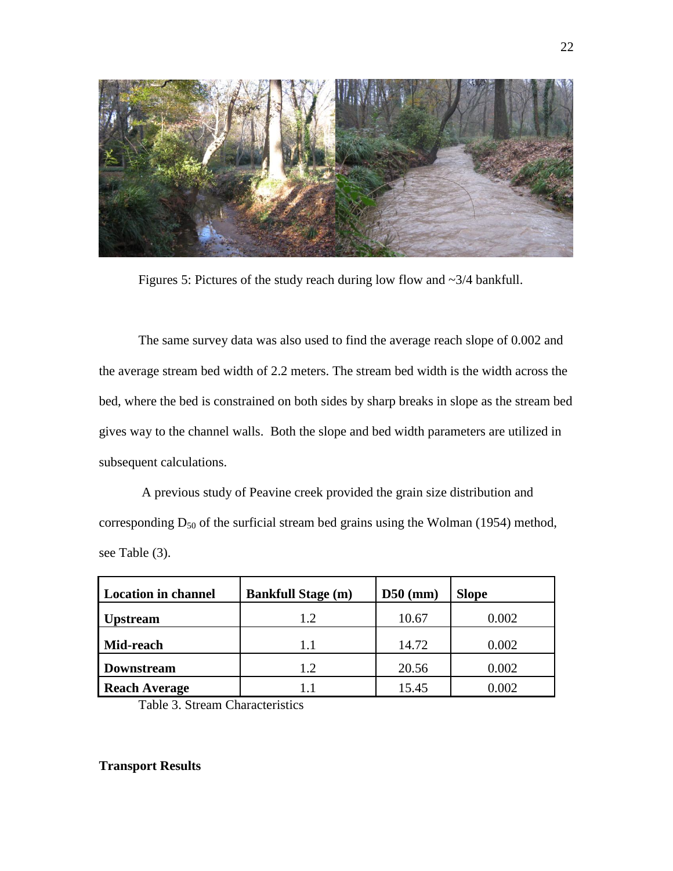

Figures 5: Pictures of the study reach during low flow and ~3/4 bankfull.

The same survey data was also used to find the average reach slope of 0.002 and the average stream bed width of 2.2 meters. The stream bed width is the width across the bed, where the bed is constrained on both sides by sharp breaks in slope as the stream bed gives way to the channel walls. Both the slope and bed width parameters are utilized in subsequent calculations.

A previous study of Peavine creek provided the grain size distribution and corresponding  $D_{50}$  of the surficial stream bed grains using the Wolman (1954) method, see Table (3).

| <b>Location in channel</b> | <b>Bankfull Stage (m)</b> | $D50$ (mm) | <b>Slope</b> |
|----------------------------|---------------------------|------------|--------------|
| Jpstream                   | 1.2                       | 10.67      | 0.002        |
| Mid-reach                  | $1.1\,$                   | 14.72      | 0.002        |
| <b>Downstream</b>          | 1.2                       | 20.56      | 0.002        |
| <b>Reach Average</b>       | 1.1                       | 15.45      | 0.002        |

Table 3. Stream Characteristics

## **Transport Results**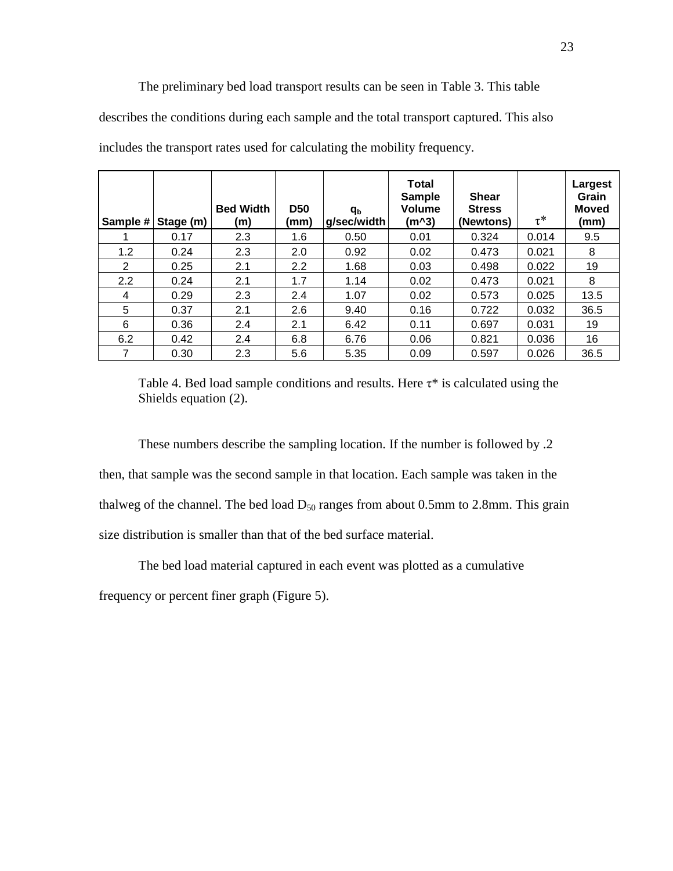#### The preliminary bed load transport results can be seen in Table 3. This table

describes the conditions during each sample and the total transport captured. This also

|     | Sample # Stage (m) | <b>Bed Width</b><br>(m) | <b>D50</b><br>(mm) | $q_{\rm b}$<br>g/sec/width | <b>Total</b><br><b>Sample</b><br><b>Volume</b><br>$(m^3)$ | <b>Shear</b><br><b>Stress</b><br>(Newtons) | $\tau^*$ | Largest<br>Grain<br><b>Moved</b><br>(mm) |
|-----|--------------------|-------------------------|--------------------|----------------------------|-----------------------------------------------------------|--------------------------------------------|----------|------------------------------------------|
|     | 0.17               | 2.3                     | 1.6                | 0.50                       | 0.01                                                      | 0.324                                      | 0.014    | 9.5                                      |
| 1.2 | 0.24               | 2.3                     | 2.0                | 0.92                       | 0.02                                                      | 0.473                                      | 0.021    | 8                                        |
| 2   | 0.25               | 2.1                     | 2.2                | 1.68                       | 0.03                                                      | 0.498                                      | 0.022    | 19                                       |
| 2.2 | 0.24               | 2.1                     | 1.7                | 1.14                       | 0.02                                                      | 0.473                                      | 0.021    | 8                                        |
| 4   | 0.29               | 2.3                     | 2.4                | 1.07                       | 0.02                                                      | 0.573                                      | 0.025    | 13.5                                     |
| 5   | 0.37               | 2.1                     | 2.6                | 9.40                       | 0.16                                                      | 0.722                                      | 0.032    | 36.5                                     |
| 6   | 0.36               | 2.4                     | 2.1                | 6.42                       | 0.11                                                      | 0.697                                      | 0.031    | 19                                       |
| 6.2 | 0.42               | 2.4                     | 6.8                | 6.76                       | 0.06                                                      | 0.821                                      | 0.036    | 16                                       |
|     | 0.30               | 2.3                     | 5.6                | 5.35                       | 0.09                                                      | 0.597                                      | 0.026    | 36.5                                     |

includes the transport rates used for calculating the mobility frequency.

These numbers describe the sampling location. If the number is followed by .2 then, that sample was the second sample in that location. Each sample was taken in the thalweg of the channel. The bed load  $D_{50}$  ranges from about 0.5mm to 2.8mm. This grain size distribution is smaller than that of the bed surface material.

The bed load material captured in each event was plotted as a cumulative frequency or percent finer graph (Figure 5).

Table 4. Bed load sample conditions and results. Here  $\tau^*$  is calculated using the Shields equation (2).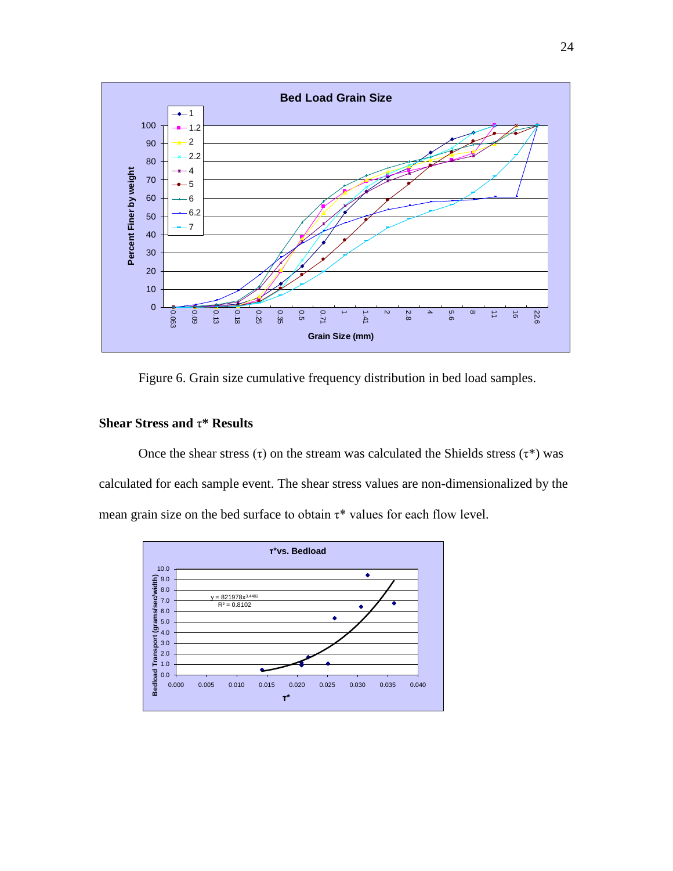

Figure 6. Grain size cumulative frequency distribution in bed load samples.

## **Shear Stress and** τ**\* Results**

Once the shear stress (τ) on the stream was calculated the Shields stress (τ<sup>\*</sup>) was calculated for each sample event. The shear stress values are non-dimensionalized by the mean grain size on the bed surface to obtain  $\tau^*$  values for each flow level.

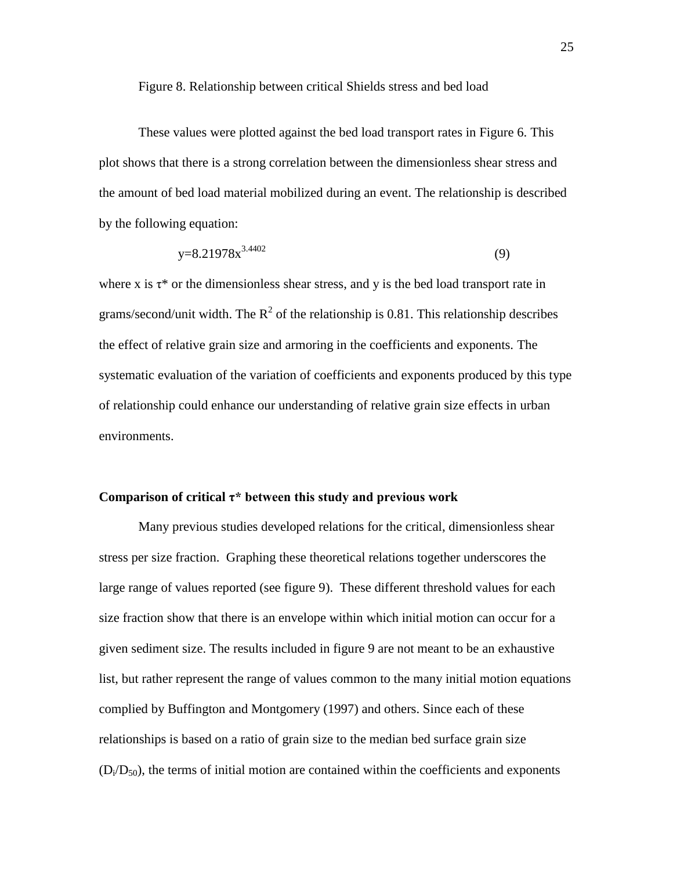Figure 8. Relationship between critical Shields stress and bed load

These values were plotted against the bed load transport rates in Figure 6. This plot shows that there is a strong correlation between the dimensionless shear stress and the amount of bed load material mobilized during an event. The relationship is described by the following equation:

$$
y=8.21978x^{3.4402}
$$
 (9)

where x is  $\tau^*$  or the dimensionless shear stress, and y is the bed load transport rate in grams/second/unit width. The  $R^2$  of the relationship is 0.81. This relationship describes the effect of relative grain size and armoring in the coefficients and exponents. The systematic evaluation of the variation of coefficients and exponents produced by this type of relationship could enhance our understanding of relative grain size effects in urban environments.

### **Comparison of critical τ\* between this study and previous work**

Many previous studies developed relations for the critical, dimensionless shear stress per size fraction. Graphing these theoretical relations together underscores the large range of values reported (see figure 9). These different threshold values for each size fraction show that there is an envelope within which initial motion can occur for a given sediment size. The results included in figure 9 are not meant to be an exhaustive list, but rather represent the range of values common to the many initial motion equations complied by Buffington and Montgomery (1997) and others. Since each of these relationships is based on a ratio of grain size to the median bed surface grain size  $(D<sub>i</sub>/D<sub>50</sub>)$ , the terms of initial motion are contained within the coefficients and exponents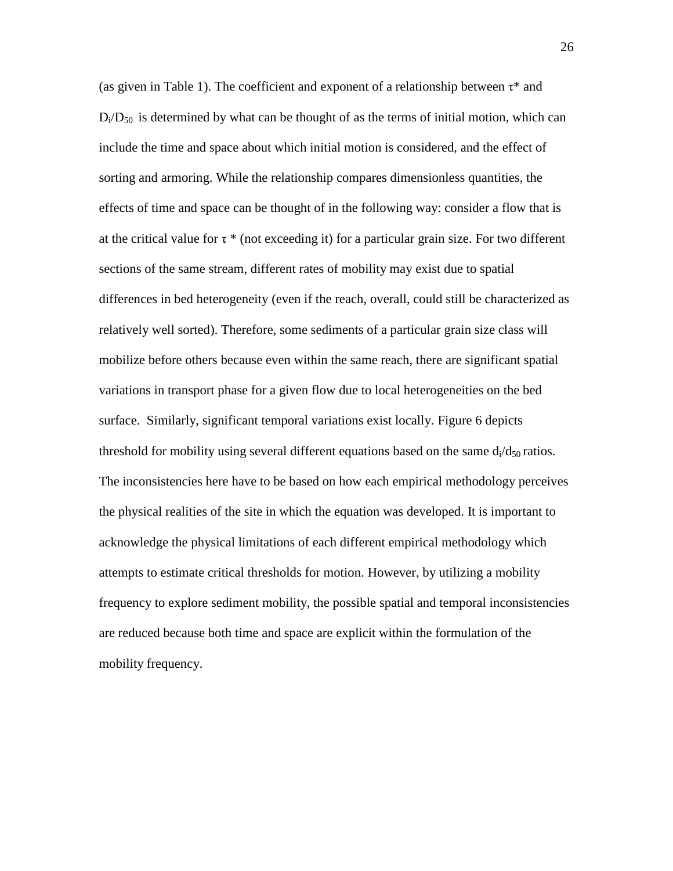(as given in Table 1). The coefficient and exponent of a relationship between  $\tau^*$  and  $D_i/D_{50}$  is determined by what can be thought of as the terms of initial motion, which can include the time and space about which initial motion is considered, and the effect of sorting and armoring. While the relationship compares dimensionless quantities, the effects of time and space can be thought of in the following way: consider a flow that is at the critical value for  $\tau^*$  (not exceeding it) for a particular grain size. For two different sections of the same stream, different rates of mobility may exist due to spatial differences in bed heterogeneity (even if the reach, overall, could still be characterized as relatively well sorted). Therefore, some sediments of a particular grain size class will mobilize before others because even within the same reach, there are significant spatial variations in transport phase for a given flow due to local heterogeneities on the bed surface. Similarly, significant temporal variations exist locally. Figure 6 depicts threshold for mobility using several different equations based on the same  $d_1/d_{50}$  ratios. The inconsistencies here have to be based on how each empirical methodology perceives the physical realities of the site in which the equation was developed. It is important to acknowledge the physical limitations of each different empirical methodology which attempts to estimate critical thresholds for motion. However, by utilizing a mobility frequency to explore sediment mobility, the possible spatial and temporal inconsistencies are reduced because both time and space are explicit within the formulation of the mobility frequency.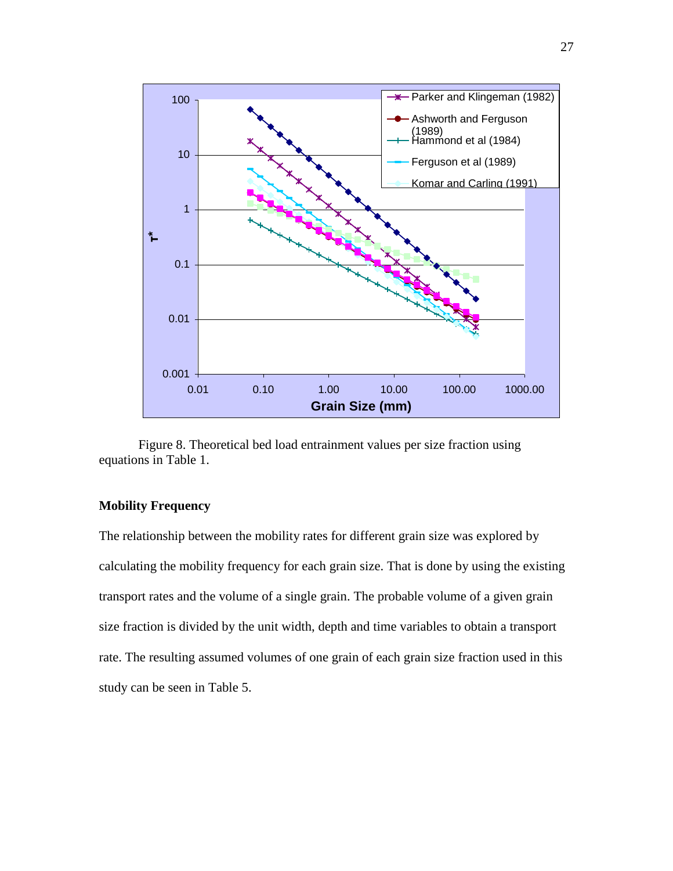

Figure 8. Theoretical bed load entrainment values per size fraction using equations in Table 1.

## **Mobility Frequency**

The relationship between the mobility rates for different grain size was explored by calculating the mobility frequency for each grain size. That is done by using the existing transport rates and the volume of a single grain. The probable volume of a given grain size fraction is divided by the unit width, depth and time variables to obtain a transport rate. The resulting assumed volumes of one grain of each grain size fraction used in this study can be seen in Table 5.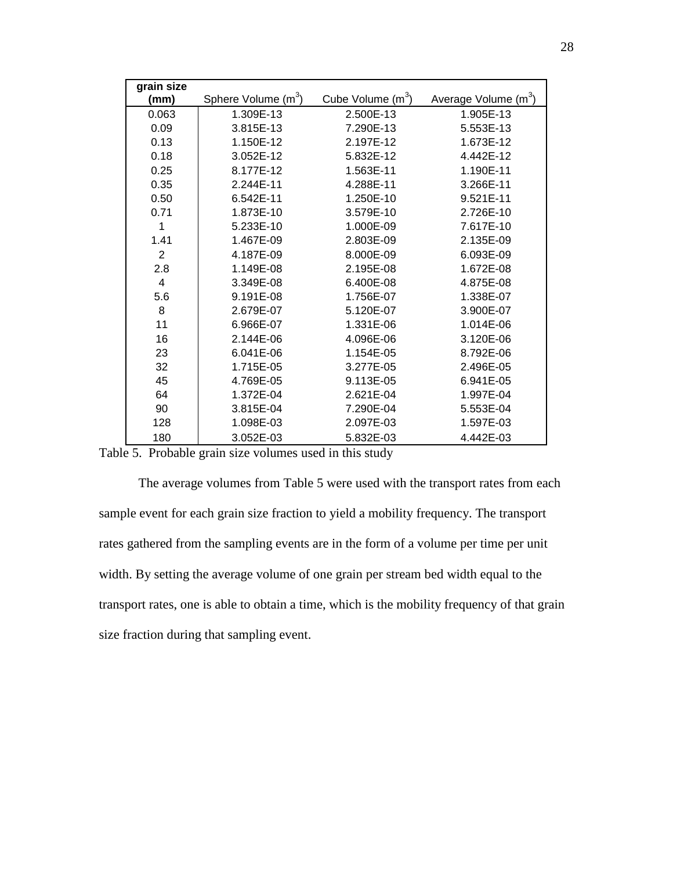| grain size     |                                 |                               |                                  |
|----------------|---------------------------------|-------------------------------|----------------------------------|
| (mm)           | Sphere Volume (m <sup>3</sup> ) | Cube Volume (m <sup>3</sup> ) | Average Volume (m <sup>3</sup> ) |
| 0.063          | 1.309E-13                       | 2.500E-13                     | 1.905E-13                        |
| 0.09           | 3.815E-13                       | 7.290E-13                     | 5.553E-13                        |
| 0.13           | 1.150E-12                       | 2.197E-12                     | 1.673E-12                        |
| 0.18           | 3.052E-12                       | 5.832E-12                     | 4.442E-12                        |
| 0.25           | 8.177E-12                       | 1.563E-11                     | 1.190E-11                        |
| 0.35           | 2.244E-11                       | 4.288E-11                     | 3.266E-11                        |
| 0.50           | 6.542E-11                       | 1.250E-10                     | 9.521E-11                        |
| 0.71           | 1.873E-10                       | 3.579E-10                     | 2.726E-10                        |
| 1              | 5.233E-10                       | 1.000E-09                     | 7.617E-10                        |
| 1.41           | 1.467E-09                       | 2.803E-09                     | 2.135E-09                        |
| $\overline{2}$ | 4.187E-09                       | 8.000E-09                     | 6.093E-09                        |
| 2.8            | 1.149E-08                       | 2.195E-08                     | 1.672E-08                        |
| $\overline{4}$ | 3.349E-08                       | 6.400E-08                     | 4.875E-08                        |
| 5.6            | 9.191E-08                       | 1.756E-07                     | 1.338E-07                        |
| 8              | 2.679E-07                       | 5.120E-07                     | 3.900E-07                        |
| 11             | 6.966E-07                       | 1.331E-06                     | 1.014E-06                        |
| 16             | 2.144E-06                       | 4.096E-06                     | 3.120E-06                        |
| 23             | 6.041E-06                       | 1.154E-05                     | 8.792E-06                        |
| 32             | 1.715E-05                       | 3.277E-05                     | 2.496E-05                        |
| 45             | 4.769E-05                       | 9.113E-05                     | 6.941E-05                        |
| 64             | 1.372E-04                       | 2.621E-04                     | 1.997E-04                        |
| 90             | 3.815E-04                       | 7.290E-04                     | 5.553E-04                        |
| 128            | 1.098E-03                       | 2.097E-03                     | 1.597E-03                        |
| 180            | 3.052E-03                       | 5.832E-03                     | 4.442E-03                        |

Table 5. Probable grain size volumes used in this study

The average volumes from Table 5 were used with the transport rates from each sample event for each grain size fraction to yield a mobility frequency. The transport rates gathered from the sampling events are in the form of a volume per time per unit width. By setting the average volume of one grain per stream bed width equal to the transport rates, one is able to obtain a time, which is the mobility frequency of that grain size fraction during that sampling event.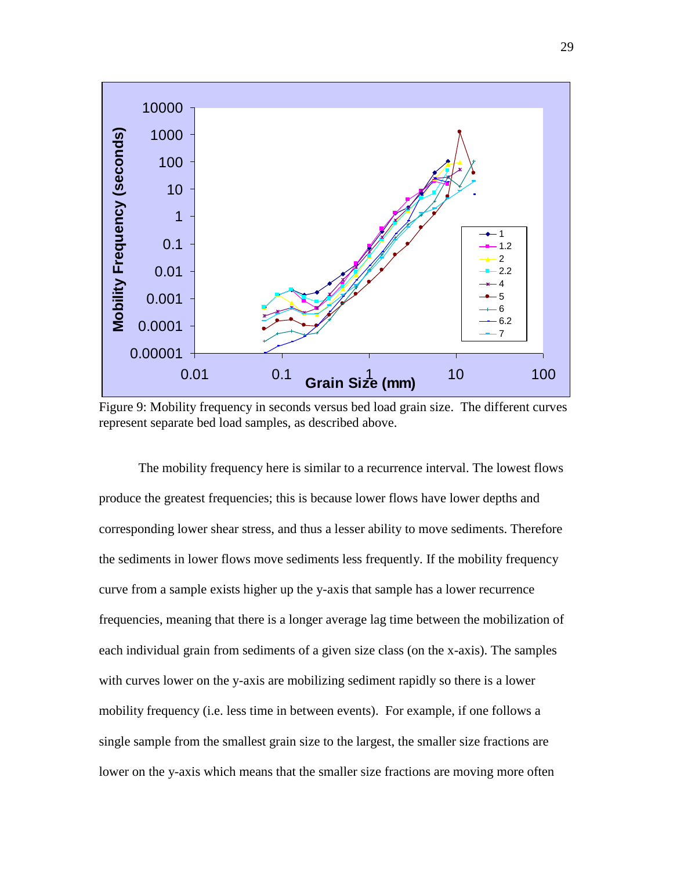

Figure 9: Mobility frequency in seconds versus bed load grain size. The different curves represent separate bed load samples, as described above.

The mobility frequency here is similar to a recurrence interval. The lowest flows produce the greatest frequencies; this is because lower flows have lower depths and corresponding lower shear stress, and thus a lesser ability to move sediments. Therefore the sediments in lower flows move sediments less frequently. If the mobility frequency curve from a sample exists higher up the y-axis that sample has a lower recurrence frequencies, meaning that there is a longer average lag time between the mobilization of each individual grain from sediments of a given size class (on the x-axis). The samples with curves lower on the y-axis are mobilizing sediment rapidly so there is a lower mobility frequency (i.e. less time in between events). For example, if one follows a single sample from the smallest grain size to the largest, the smaller size fractions are lower on the y-axis which means that the smaller size fractions are moving more often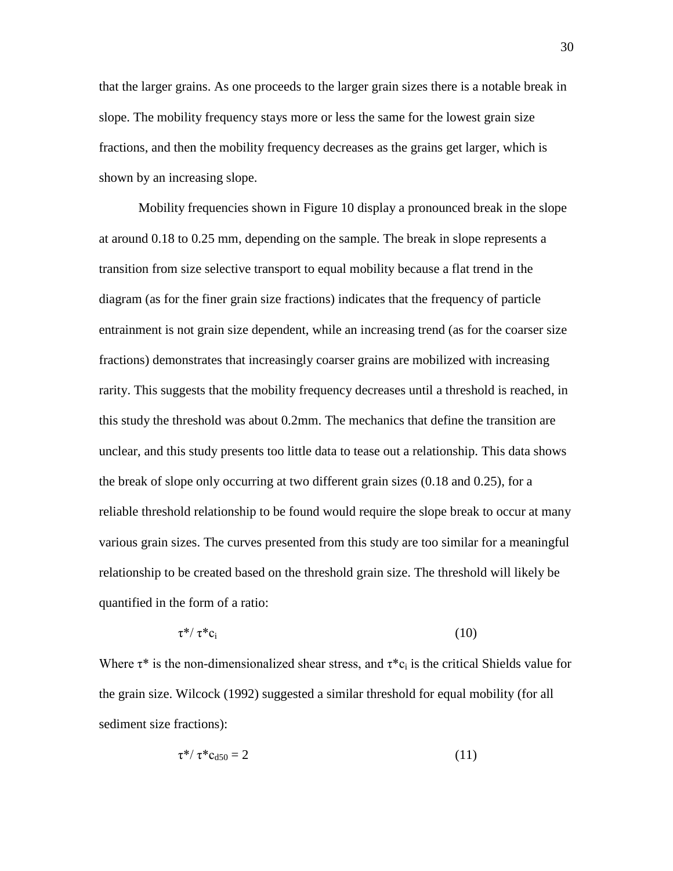that the larger grains. As one proceeds to the larger grain sizes there is a notable break in slope. The mobility frequency stays more or less the same for the lowest grain size fractions, and then the mobility frequency decreases as the grains get larger, which is shown by an increasing slope.

Mobility frequencies shown in Figure 10 display a pronounced break in the slope at around 0.18 to 0.25 mm, depending on the sample. The break in slope represents a transition from size selective transport to equal mobility because a flat trend in the diagram (as for the finer grain size fractions) indicates that the frequency of particle entrainment is not grain size dependent, while an increasing trend (as for the coarser size fractions) demonstrates that increasingly coarser grains are mobilized with increasing rarity. This suggests that the mobility frequency decreases until a threshold is reached, in this study the threshold was about 0.2mm. The mechanics that define the transition are unclear, and this study presents too little data to tease out a relationship. This data shows the break of slope only occurring at two different grain sizes (0.18 and 0.25), for a reliable threshold relationship to be found would require the slope break to occur at many various grain sizes. The curves presented from this study are too similar for a meaningful relationship to be created based on the threshold grain size. The threshold will likely be quantified in the form of a ratio:

$$
\tau^* / \tau^* c_i \tag{10}
$$

Where  $\tau^*$  is the non-dimensionalized shear stress, and  $\tau^*c_i$  is the critical Shields value for the grain size. Wilcock (1992) suggested a similar threshold for equal mobility (for all sediment size fractions):

$$
\tau^* / \tau^* c_{d50} = 2 \tag{11}
$$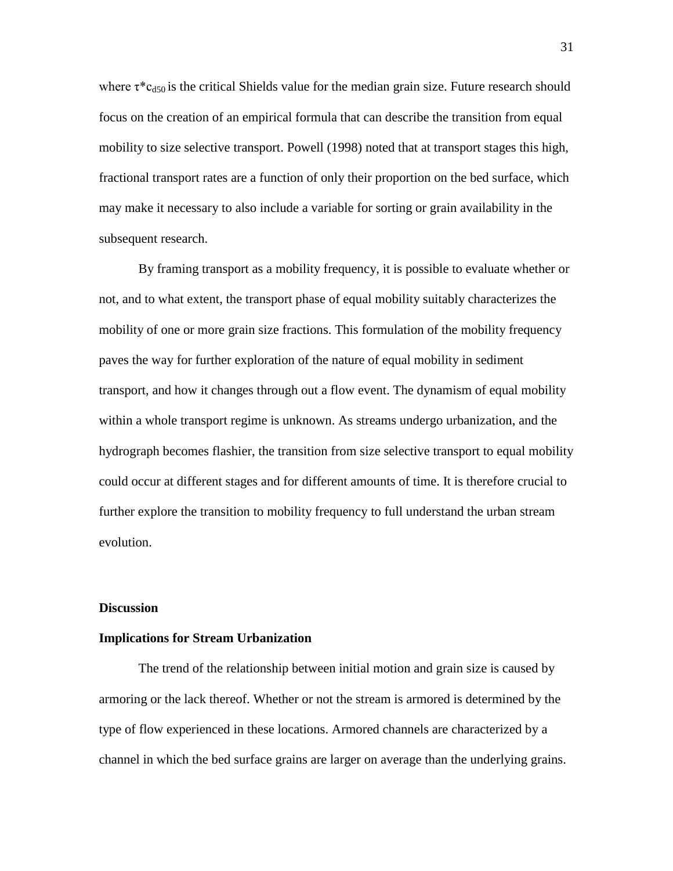where  $\tau^*c_{d50}$  is the critical Shields value for the median grain size. Future research should focus on the creation of an empirical formula that can describe the transition from equal mobility to size selective transport. Powell (1998) noted that at transport stages this high, fractional transport rates are a function of only their proportion on the bed surface, which may make it necessary to also include a variable for sorting or grain availability in the subsequent research.

By framing transport as a mobility frequency, it is possible to evaluate whether or not, and to what extent, the transport phase of equal mobility suitably characterizes the mobility of one or more grain size fractions. This formulation of the mobility frequency paves the way for further exploration of the nature of equal mobility in sediment transport, and how it changes through out a flow event. The dynamism of equal mobility within a whole transport regime is unknown. As streams undergo urbanization, and the hydrograph becomes flashier, the transition from size selective transport to equal mobility could occur at different stages and for different amounts of time. It is therefore crucial to further explore the transition to mobility frequency to full understand the urban stream evolution.

### **Discussion**

#### **Implications for Stream Urbanization**

The trend of the relationship between initial motion and grain size is caused by armoring or the lack thereof. Whether or not the stream is armored is determined by the type of flow experienced in these locations. Armored channels are characterized by a channel in which the bed surface grains are larger on average than the underlying grains.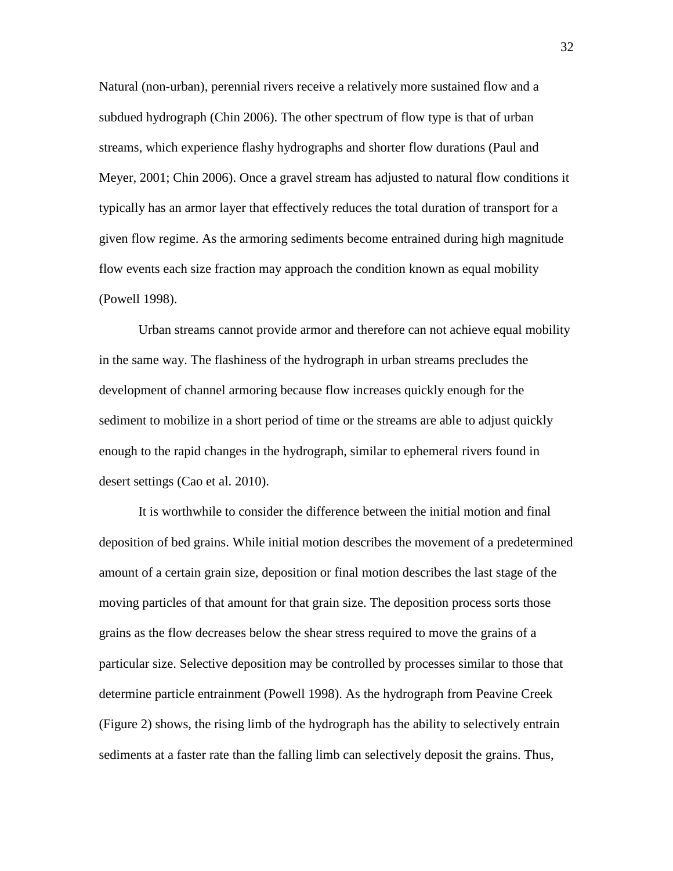Natural (non-urban), perennial rivers receive a relatively more sustained flow and a subdued hydrograph (Chin 2006). The other spectrum of flow type is that of urban streams, which experience flashy hydrographs and shorter flow durations (Paul and Meyer, 2001; Chin 2006). Once a gravel stream has adjusted to natural flow conditions it typically has an armor layer that effectively reduces the total duration of transport for a given flow regime. As the armoring sediments become entrained during high magnitude flow events each size fraction may approach the condition known as equal mobility (Powell 1998).

Urban streams cannot provide armor and therefore can not achieve equal mobility in the same way. The flashiness of the hydrograph in urban streams precludes the development of channel armoring because flow increases quickly enough for the sediment to mobilize in a short period of time or the streams are able to adjust quickly enough to the rapid changes in the hydrograph, similar to ephemeral rivers found in desert settings (Cao et al. 2010).

It is worthwhile to consider the difference between the initial motion and final deposition of bed grains. While initial motion describes the movement of a predetermined amount of a certain grain size, deposition or final motion describes the last stage of the moving particles of that amount for that grain size. The deposition process sorts those grains as the flow decreases below the shear stress required to move the grains of a particular size. Selective deposition may be controlled by processes similar to those that determine particle entrainment (Powell 1998). As the hydrograph from Peavine Creek (Figure 2) shows, the rising limb of the hydrograph has the ability to selectively entrain sediments at a faster rate than the falling limb can selectively deposit the grains. Thus,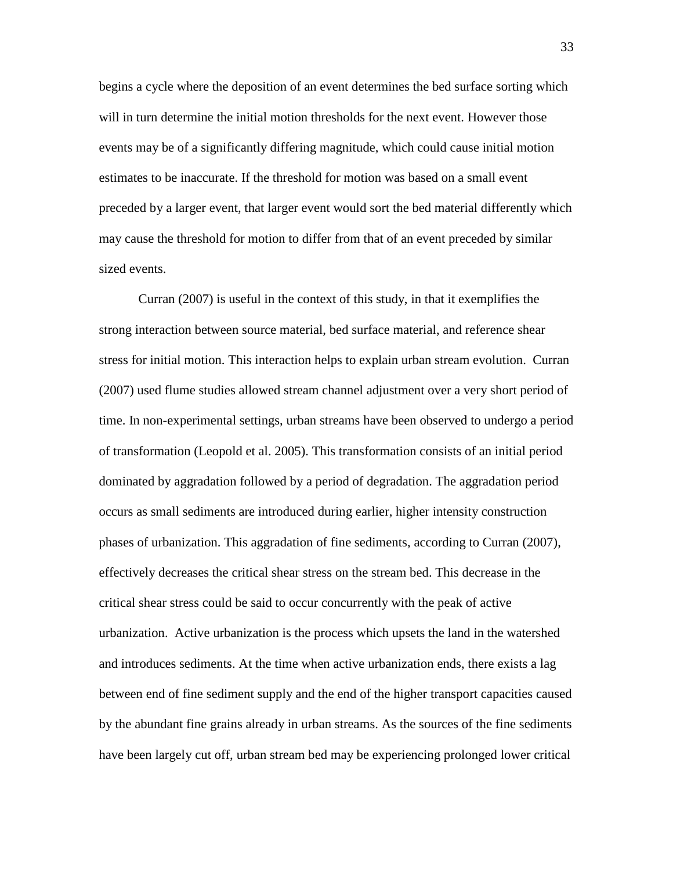begins a cycle where the deposition of an event determines the bed surface sorting which will in turn determine the initial motion thresholds for the next event. However those events may be of a significantly differing magnitude, which could cause initial motion estimates to be inaccurate. If the threshold for motion was based on a small event preceded by a larger event, that larger event would sort the bed material differently which may cause the threshold for motion to differ from that of an event preceded by similar sized events.

Curran (2007) is useful in the context of this study, in that it exemplifies the strong interaction between source material, bed surface material, and reference shear stress for initial motion. This interaction helps to explain urban stream evolution. Curran (2007) used flume studies allowed stream channel adjustment over a very short period of time. In non-experimental settings, urban streams have been observed to undergo a period of transformation (Leopold et al. 2005). This transformation consists of an initial period dominated by aggradation followed by a period of degradation. The aggradation period occurs as small sediments are introduced during earlier, higher intensity construction phases of urbanization. This aggradation of fine sediments, according to Curran (2007), effectively decreases the critical shear stress on the stream bed. This decrease in the critical shear stress could be said to occur concurrently with the peak of active urbanization. Active urbanization is the process which upsets the land in the watershed and introduces sediments. At the time when active urbanization ends, there exists a lag between end of fine sediment supply and the end of the higher transport capacities caused by the abundant fine grains already in urban streams. As the sources of the fine sediments have been largely cut off, urban stream bed may be experiencing prolonged lower critical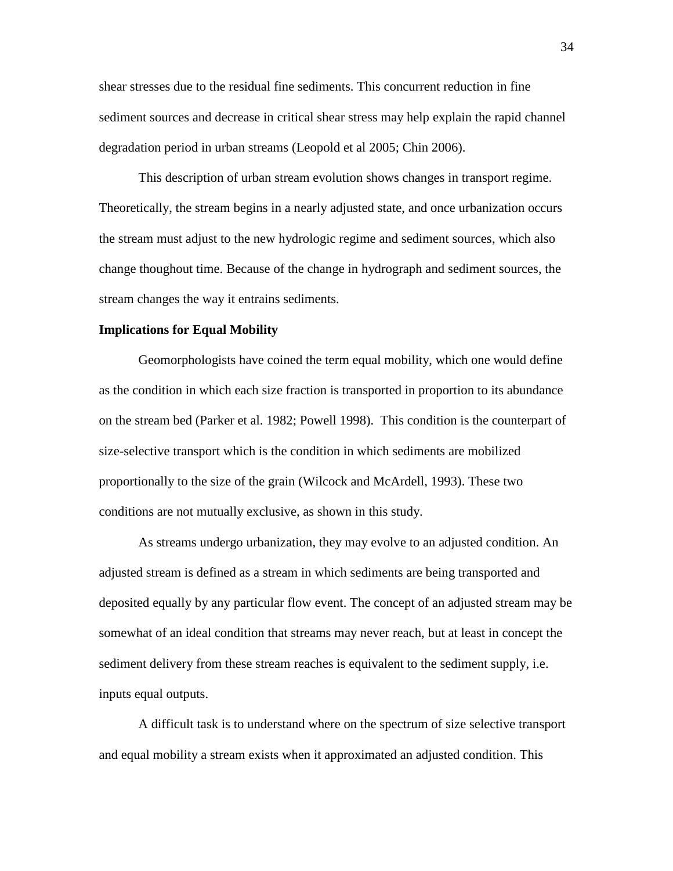shear stresses due to the residual fine sediments. This concurrent reduction in fine sediment sources and decrease in critical shear stress may help explain the rapid channel degradation period in urban streams (Leopold et al 2005; Chin 2006).

This description of urban stream evolution shows changes in transport regime. Theoretically, the stream begins in a nearly adjusted state, and once urbanization occurs the stream must adjust to the new hydrologic regime and sediment sources, which also change thoughout time. Because of the change in hydrograph and sediment sources, the stream changes the way it entrains sediments.

### **Implications for Equal Mobility**

Geomorphologists have coined the term equal mobility, which one would define as the condition in which each size fraction is transported in proportion to its abundance on the stream bed (Parker et al. 1982; Powell 1998). This condition is the counterpart of size-selective transport which is the condition in which sediments are mobilized proportionally to the size of the grain (Wilcock and McArdell, 1993). These two conditions are not mutually exclusive, as shown in this study.

As streams undergo urbanization, they may evolve to an adjusted condition. An adjusted stream is defined as a stream in which sediments are being transported and deposited equally by any particular flow event. The concept of an adjusted stream may be somewhat of an ideal condition that streams may never reach, but at least in concept the sediment delivery from these stream reaches is equivalent to the sediment supply, i.e. inputs equal outputs.

A difficult task is to understand where on the spectrum of size selective transport and equal mobility a stream exists when it approximated an adjusted condition. This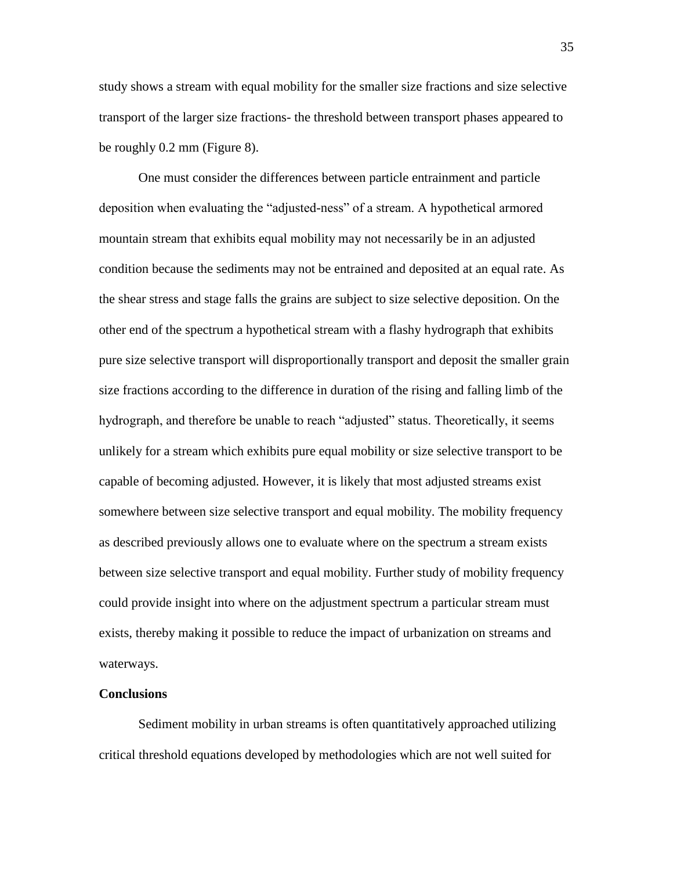study shows a stream with equal mobility for the smaller size fractions and size selective transport of the larger size fractions- the threshold between transport phases appeared to be roughly 0.2 mm (Figure 8).

One must consider the differences between particle entrainment and particle deposition when evaluating the "adjusted-ness" of a stream. A hypothetical armored mountain stream that exhibits equal mobility may not necessarily be in an adjusted condition because the sediments may not be entrained and deposited at an equal rate. As the shear stress and stage falls the grains are subject to size selective deposition. On the other end of the spectrum a hypothetical stream with a flashy hydrograph that exhibits pure size selective transport will disproportionally transport and deposit the smaller grain size fractions according to the difference in duration of the rising and falling limb of the hydrograph, and therefore be unable to reach "adjusted" status. Theoretically, it seems unlikely for a stream which exhibits pure equal mobility or size selective transport to be capable of becoming adjusted. However, it is likely that most adjusted streams exist somewhere between size selective transport and equal mobility. The mobility frequency as described previously allows one to evaluate where on the spectrum a stream exists between size selective transport and equal mobility. Further study of mobility frequency could provide insight into where on the adjustment spectrum a particular stream must exists, thereby making it possible to reduce the impact of urbanization on streams and waterways.

### **Conclusions**

Sediment mobility in urban streams is often quantitatively approached utilizing critical threshold equations developed by methodologies which are not well suited for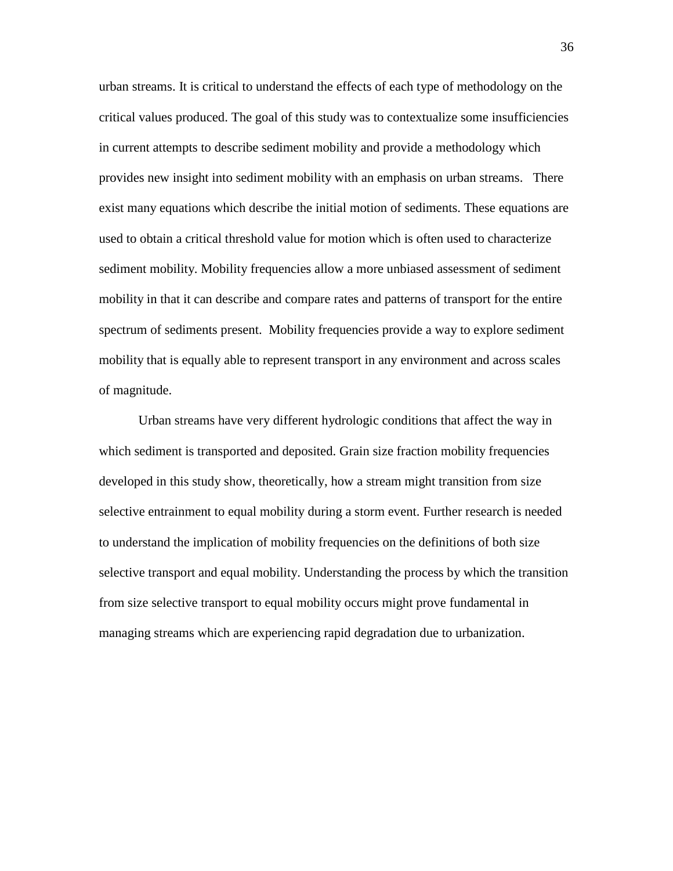urban streams. It is critical to understand the effects of each type of methodology on the critical values produced. The goal of this study was to contextualize some insufficiencies in current attempts to describe sediment mobility and provide a methodology which provides new insight into sediment mobility with an emphasis on urban streams. There exist many equations which describe the initial motion of sediments. These equations are used to obtain a critical threshold value for motion which is often used to characterize sediment mobility. Mobility frequencies allow a more unbiased assessment of sediment mobility in that it can describe and compare rates and patterns of transport for the entire spectrum of sediments present. Mobility frequencies provide a way to explore sediment mobility that is equally able to represent transport in any environment and across scales of magnitude.

Urban streams have very different hydrologic conditions that affect the way in which sediment is transported and deposited. Grain size fraction mobility frequencies developed in this study show, theoretically, how a stream might transition from size selective entrainment to equal mobility during a storm event. Further research is needed to understand the implication of mobility frequencies on the definitions of both size selective transport and equal mobility. Understanding the process by which the transition from size selective transport to equal mobility occurs might prove fundamental in managing streams which are experiencing rapid degradation due to urbanization.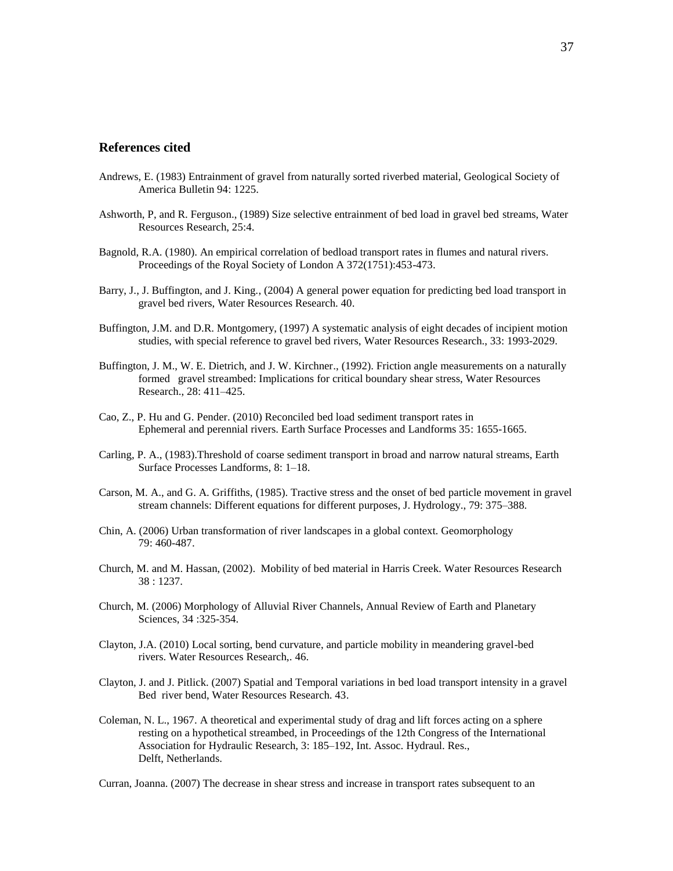#### **References cited**

- Andrews, E. (1983) Entrainment of gravel from naturally sorted riverbed material, Geological Society of America Bulletin 94: 1225.
- Ashworth, P, and R. Ferguson., (1989) Size selective entrainment of bed load in gravel bed streams, Water Resources Research, 25:4.
- Bagnold, R.A. (1980). An empirical correlation of bedload transport rates in flumes and natural rivers. Proceedings of the Royal Society of London A 372(1751):453-473.
- Barry, J., J. Buffington, and J. King., (2004) A general power equation for predicting bed load transport in gravel bed rivers, Water Resources Research. 40.
- Buffington, J.M. and D.R. Montgomery, (1997) A systematic analysis of eight decades of incipient motion studies, with special reference to gravel bed rivers, Water Resources Research., 33: 1993-2029.
- Buffington, J. M., W. E. Dietrich, and J. W. Kirchner., (1992). Friction angle measurements on a naturally formed gravel streambed: Implications for critical boundary shear stress, Water Resources Research., 28: 411–425.
- Cao, Z., P. Hu and G. Pender. (2010) Reconciled bed load sediment transport rates in Ephemeral and perennial rivers. Earth Surface Processes and Landforms 35: 1655-1665.
- Carling, P. A., (1983).Threshold of coarse sediment transport in broad and narrow natural streams, Earth Surface Processes Landforms, 8: 1–18.
- Carson, M. A., and G. A. Griffiths, (1985). Tractive stress and the onset of bed particle movement in gravel stream channels: Different equations for different purposes, J. Hydrology., 79: 375–388.
- Chin, A. (2006) Urban transformation of river landscapes in a global context. Geomorphology 79: 460-487.
- Church, M. and M. Hassan, (2002). Mobility of bed material in Harris Creek. Water Resources Research 38 : 1237.
- Church, M. (2006) Morphology of Alluvial River Channels, Annual Review of Earth and Planetary Sciences, 34 :325-354.
- Clayton, J.A. (2010) Local sorting, bend curvature, and particle mobility in meandering gravel-bed rivers. Water Resources Research,. 46.
- Clayton, J. and J. Pitlick. (2007) Spatial and Temporal variations in bed load transport intensity in a gravel Bed river bend, Water Resources Research. 43.
- Coleman, N. L., 1967. A theoretical and experimental study of drag and lift forces acting on a sphere resting on a hypothetical streambed, in Proceedings of the 12th Congress of the International Association for Hydraulic Research, 3: 185–192, Int. Assoc. Hydraul. Res., Delft, Netherlands.

Curran, Joanna. (2007) The decrease in shear stress and increase in transport rates subsequent to an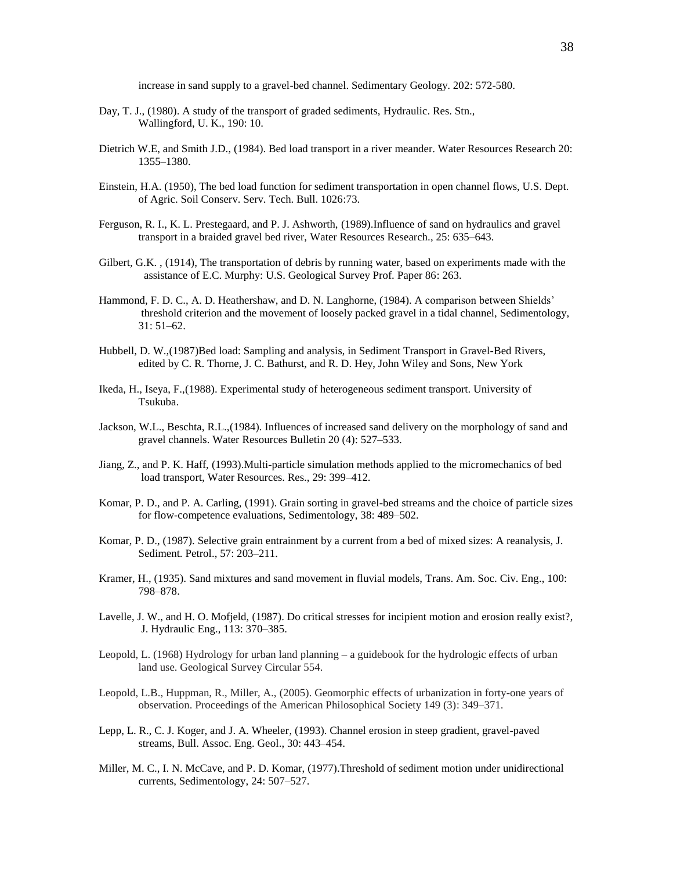increase in sand supply to a gravel-bed channel. Sedimentary Geology. 202: 572-580.

- Day, T. J., (1980). A study of the transport of graded sediments, Hydraulic. Res. Stn., Wallingford, U. K., 190: 10.
- Dietrich W.E, and Smith J.D., (1984). Bed load transport in a river meander. Water Resources Research 20: 1355–1380.
- Einstein, H.A. (1950), The bed load function for sediment transportation in open channel flows, U.S. Dept. of Agric. Soil Conserv. Serv. Tech. Bull. 1026:73.
- Ferguson, R. I., K. L. Prestegaard, and P. J. Ashworth, (1989).Influence of sand on hydraulics and gravel transport in a braided gravel bed river, Water Resources Research., 25: 635–643.
- Gilbert, G.K. , (1914), The transportation of debris by running water, based on experiments made with the assistance of E.C. Murphy: U.S. Geological Survey Prof. Paper 86: 263.
- Hammond, F. D. C., A. D. Heathershaw, and D. N. Langhorne, (1984). A comparison between Shields' threshold criterion and the movement of loosely packed gravel in a tidal channel, Sedimentology, 31: 51–62.
- Hubbell, D. W.,(1987)Bed load: Sampling and analysis, in Sediment Transport in Gravel-Bed Rivers, edited by C. R. Thorne, J. C. Bathurst, and R. D. Hey, John Wiley and Sons, New York
- Ikeda, H., Iseya, F.,(1988). Experimental study of heterogeneous sediment transport. University of Tsukuba.
- Jackson, W.L., Beschta, R.L.,(1984). Influences of increased sand delivery on the morphology of sand and gravel channels. Water Resources Bulletin 20 (4): 527–533.
- Jiang, Z., and P. K. Haff, (1993).Multi-particle simulation methods applied to the micromechanics of bed load transport, Water Resources. Res., 29: 399-412.
- Komar, P. D., and P. A. Carling, (1991). Grain sorting in gravel-bed streams and the choice of particle sizes for flow-competence evaluations, Sedimentology, 38: 489–502.
- Komar, P. D., (1987). Selective grain entrainment by a current from a bed of mixed sizes: A reanalysis, J. Sediment. Petrol., 57: 203–211.
- Kramer, H., (1935). Sand mixtures and sand movement in fluvial models, Trans. Am. Soc. Civ. Eng., 100: 798–878.
- Lavelle, J. W., and H. O. Mofjeld, (1987). Do critical stresses for incipient motion and erosion really exist?, J. Hydraulic Eng., 113: 370–385.
- Leopold, L. (1968) Hydrology for urban land planning a guidebook for the hydrologic effects of urban land use. Geological Survey Circular 554.
- Leopold, L.B., Huppman, R., Miller, A., (2005). Geomorphic effects of urbanization in forty-one years of observation. Proceedings of the American Philosophical Society 149 (3): 349–371.
- Lepp, L. R., C. J. Koger, and J. A. Wheeler, (1993). Channel erosion in steep gradient, gravel-paved streams, Bull. Assoc. Eng. Geol., 30: 443–454.
- Miller, M. C., I. N. McCave, and P. D. Komar, (1977).Threshold of sediment motion under unidirectional currents, Sedimentology, 24: 507–527.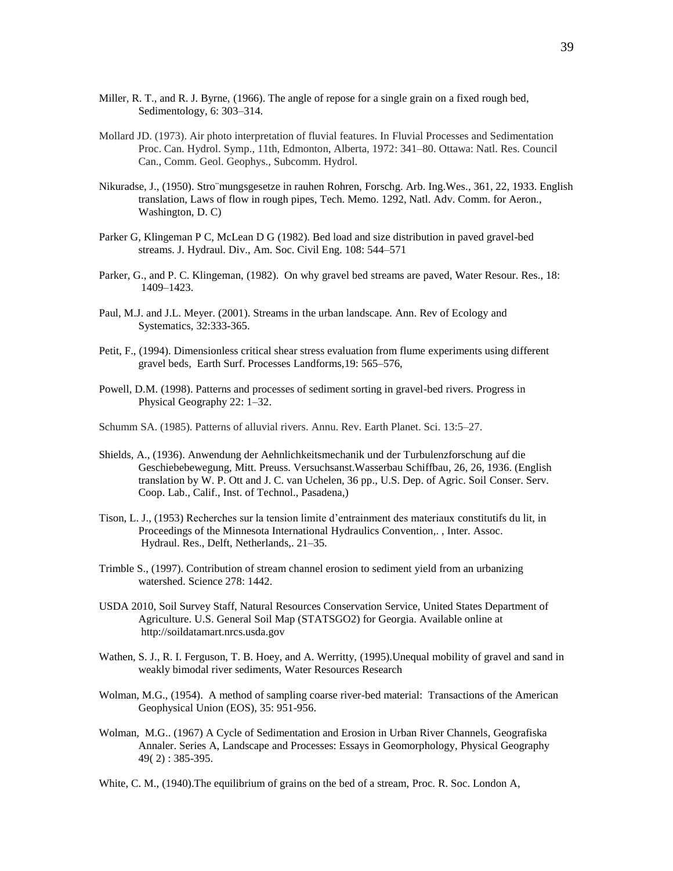- Miller, R. T., and R. J. Byrne, (1966). The angle of repose for a single grain on a fixed rough bed, Sedimentology, 6: 303–314.
- Mollard JD. (1973). Air photo interpretation of fluvial features. In Fluvial Processes and Sedimentation Proc. Can. Hydrol. Symp., 11th, Edmonton, Alberta, 1972: 341–80. Ottawa: Natl. Res. Council Can., Comm. Geol. Geophys., Subcomm. Hydrol.
- Nikuradse, J., (1950). Stro¨mungsgesetze in rauhen Rohren, Forschg. Arb. Ing.Wes., 361, 22, 1933. English translation, Laws of flow in rough pipes, Tech. Memo. 1292, Natl. Adv. Comm. for Aeron., Washington, D. C)
- Parker G, Klingeman P C, McLean D G (1982). Bed load and size distribution in paved gravel-bed streams. J. Hydraul. Div., Am. Soc. Civil Eng. 108: 544–571
- Parker, G., and P. C. Klingeman, (1982). On why gravel bed streams are paved, Water Resour. Res., 18: 1409–1423.
- Paul, M.J. and J.L. Meyer. (2001). Streams in the urban landscape*.* Ann. Rev of Ecology and Systematics, 32:333-365.
- Petit, F., (1994). Dimensionless critical shear stress evaluation from flume experiments using different gravel beds, Earth Surf. Processes Landforms,19: 565–576,
- Powell, D.M. (1998). Patterns and processes of sediment sorting in gravel-bed rivers. Progress in Physical Geography 22: 1–32.
- Schumm SA. (1985). Patterns of alluvial rivers. Annu. Rev. Earth Planet. Sci. 13:5–27.
- Shields, A., (1936). Anwendung der Aehnlichkeitsmechanik und der Turbulenzforschung auf die Geschiebebewegung, Mitt. Preuss. Versuchsanst.Wasserbau Schiffbau, 26, 26, 1936. (English translation by W. P. Ott and J. C. van Uchelen, 36 pp., U.S. Dep. of Agric. Soil Conser. Serv. Coop. Lab., Calif., Inst. of Technol., Pasadena,)
- Tison, L. J., (1953) Recherches sur la tension limite d'entrainment des materiaux constitutifs du lit, in Proceedings of the Minnesota International Hydraulics Convention,. , Inter. Assoc. Hydraul. Res., Delft, Netherlands,. 21–35.
- Trimble S., (1997). Contribution of stream channel erosion to sediment yield from an urbanizing watershed. Science 278: 1442.
- USDA 2010, Soil Survey Staff, Natural Resources Conservation Service, United States Department of Agriculture. U.S. General Soil Map (STATSGO2) for Georgia. Available online at http://soildatamart.nrcs.usda.gov
- Wathen, S. J., R. I. Ferguson, T. B. Hoey, and A. Werritty, (1995).Unequal mobility of gravel and sand in weakly bimodal river sediments, Water Resources Research
- Wolman, M.G., (1954). A method of sampling coarse river-bed material: Transactions of the American Geophysical Union (EOS), 35: 951-956.
- Wolman, M.G.. (1967) A Cycle of Sedimentation and Erosion in Urban River Channels, Geografiska Annaler. Series A, Landscape and Processes: Essays in Geomorphology, Physical Geography 49( 2) : 385-395.
- White, C. M., (1940).The equilibrium of grains on the bed of a stream, Proc. R. Soc. London A,